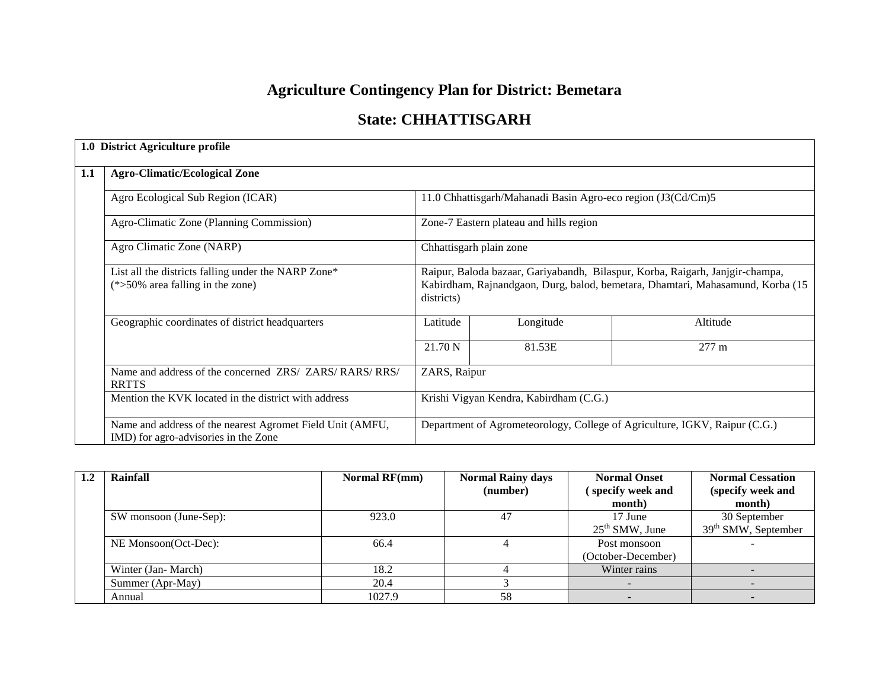# **Agriculture Contingency Plan for District: Bemetara**

## **State: CHHATTISGARH**

|     | 1.0 District Agriculture profile                                                                  |                                                                                                                                                                                |                                                              |                                                                            |  |
|-----|---------------------------------------------------------------------------------------------------|--------------------------------------------------------------------------------------------------------------------------------------------------------------------------------|--------------------------------------------------------------|----------------------------------------------------------------------------|--|
| 1.1 | <b>Agro-Climatic/Ecological Zone</b>                                                              |                                                                                                                                                                                |                                                              |                                                                            |  |
|     | Agro Ecological Sub Region (ICAR)                                                                 |                                                                                                                                                                                | 11.0 Chhattisgarh/Mahanadi Basin Agro-eco region (J3(Cd/Cm)5 |                                                                            |  |
|     | Agro-Climatic Zone (Planning Commission)                                                          |                                                                                                                                                                                | Zone-7 Eastern plateau and hills region                      |                                                                            |  |
|     | Agro Climatic Zone (NARP)                                                                         | Chhattisgarh plain zone                                                                                                                                                        |                                                              |                                                                            |  |
|     | List all the districts falling under the NARP Zone*<br>$(*>50\%$ area falling in the zone)        | Raipur, Baloda bazaar, Gariyabandh, Bilaspur, Korba, Raigarh, Janjgir-champa,<br>Kabirdham, Rajnandgaon, Durg, balod, bemetara, Dhamtari, Mahasamund, Korba (15)<br>districts) |                                                              |                                                                            |  |
|     | Geographic coordinates of district headquarters                                                   | Latitude                                                                                                                                                                       | Longitude                                                    | Altitude                                                                   |  |
|     |                                                                                                   | 21.70 N                                                                                                                                                                        | 81.53E                                                       | $277 \text{ m}$                                                            |  |
|     | Name and address of the concerned ZRS/ ZARS/ RARS/ RRS/<br><b>RRTTS</b>                           | ZARS, Raipur                                                                                                                                                                   |                                                              |                                                                            |  |
|     | Mention the KVK located in the district with address                                              |                                                                                                                                                                                | Krishi Vigyan Kendra, Kabirdham (C.G.)                       |                                                                            |  |
|     | Name and address of the nearest Agromet Field Unit (AMFU,<br>IMD) for agro-advisories in the Zone |                                                                                                                                                                                |                                                              | Department of Agrometeorology, College of Agriculture, IGKV, Raipur (C.G.) |  |

| 1.2 | Rainfall               | <b>Normal RF(mm)</b> | <b>Normal Rainy days</b> | <b>Normal Onset</b> | <b>Normal Cessation</b> |
|-----|------------------------|----------------------|--------------------------|---------------------|-------------------------|
|     |                        |                      | (number)                 | specify week and    | (specify week and       |
|     |                        |                      |                          | month)              | month)                  |
|     | SW monsoon (June-Sep): | 923.0                | 47                       | 17 June             | 30 September            |
|     |                        |                      |                          | $25th$ SMW, June    | $39th$ SMW, September   |
|     | NE Monsoon(Oct-Dec):   | 66.4                 |                          | Post monsoon        |                         |
|     |                        |                      |                          | (October-December)  |                         |
|     | Winter (Jan-March)     | 18.2                 |                          | Winter rains        |                         |
|     | Summer (Apr-May)       | 20.4                 |                          |                     |                         |
|     | Annual                 | 1027.9               | 58                       |                     |                         |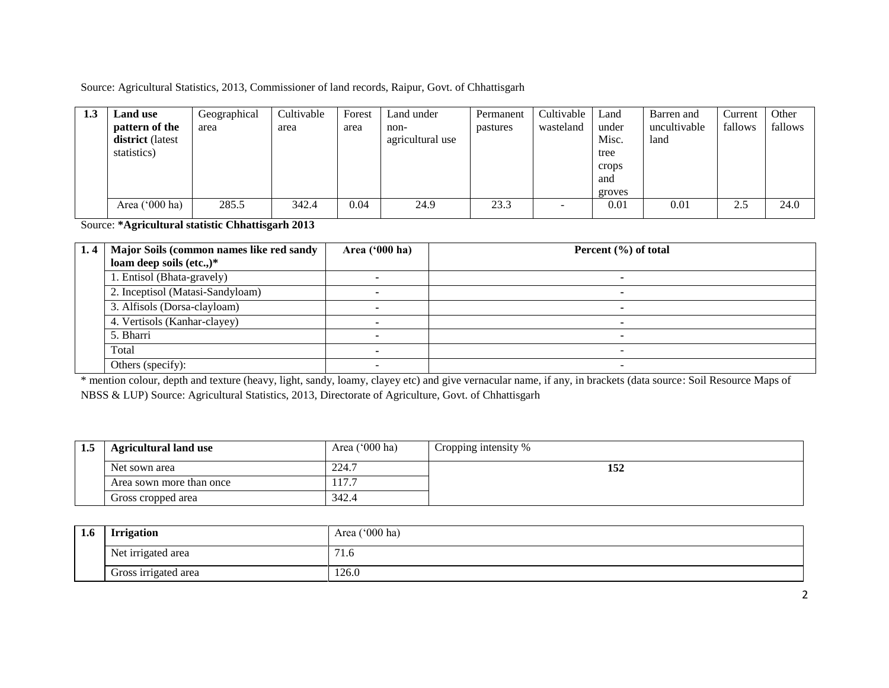Source: Agricultural Statistics, 2013, Commissioner of land records, Raipur, Govt. of Chhattisgarh

| 1.3 | <b>Land use</b><br>pattern of the<br>district (latest<br>statistics) | Geographical<br>area | Cultivable<br>area | Forest<br>area | Land under<br>non-<br>agricultural use | Permanent<br>pastures | Cultivable<br>wasteland  | Land<br>under<br>Misc.<br>tree<br>crops<br>and<br>groves | Barren and<br>uncultivable<br>land | Current<br>fallows | Other<br>fallows |
|-----|----------------------------------------------------------------------|----------------------|--------------------|----------------|----------------------------------------|-----------------------|--------------------------|----------------------------------------------------------|------------------------------------|--------------------|------------------|
|     | Area ('000 ha)                                                       | 285.5                | 342.4              | 0.04           | 24.9                                   | 23.3                  | $\overline{\phantom{0}}$ | 0.01                                                     | 0.01                               | 2.5                | 24.0             |

Source: **\*Agricultural statistic Chhattisgarh 2013**

| 1.4 | Major Soils (common names like red sandy | Area $('000 ha)$ | Percent $(\% )$ of total |
|-----|------------------------------------------|------------------|--------------------------|
|     | loam deep soils (etc.,)*                 |                  |                          |
|     | 1. Entisol (Bhata-gravely)               |                  |                          |
|     | 2. Inceptisol (Matasi-Sandyloam)         |                  |                          |
|     | 3. Alfisols (Dorsa-clayloam)             |                  |                          |
|     | 4. Vertisols (Kanhar-clayey)             |                  |                          |
|     | 5. Bharri                                |                  |                          |
|     | Total                                    |                  |                          |
|     | Others (specify):                        |                  | -                        |

\* mention colour, depth and texture (heavy, light, sandy, loamy, clayey etc) and give vernacular name, if any, in brackets (data source: Soil Resource Maps of NBSS & LUP) Source: Agricultural Statistics, 2013, Directorate of Agriculture, Govt. of Chhattisgarh

| 1.5 | <b>Agricultural land use</b> | Area $('000 ha)$ | Cropping intensity % |
|-----|------------------------------|------------------|----------------------|
|     | Net sown area                | 224.7            | 152                  |
|     | Area sown more than once     |                  |                      |
|     | Gross cropped area           | 342.4            |                      |

| 1.6 | <b>Irrigation</b>    | Area ('000 ha)             |  |  |
|-----|----------------------|----------------------------|--|--|
|     | Net irrigated area   | $\mathbf{z}$<br><b>1.0</b> |  |  |
|     | Gross irrigated area | 126.0                      |  |  |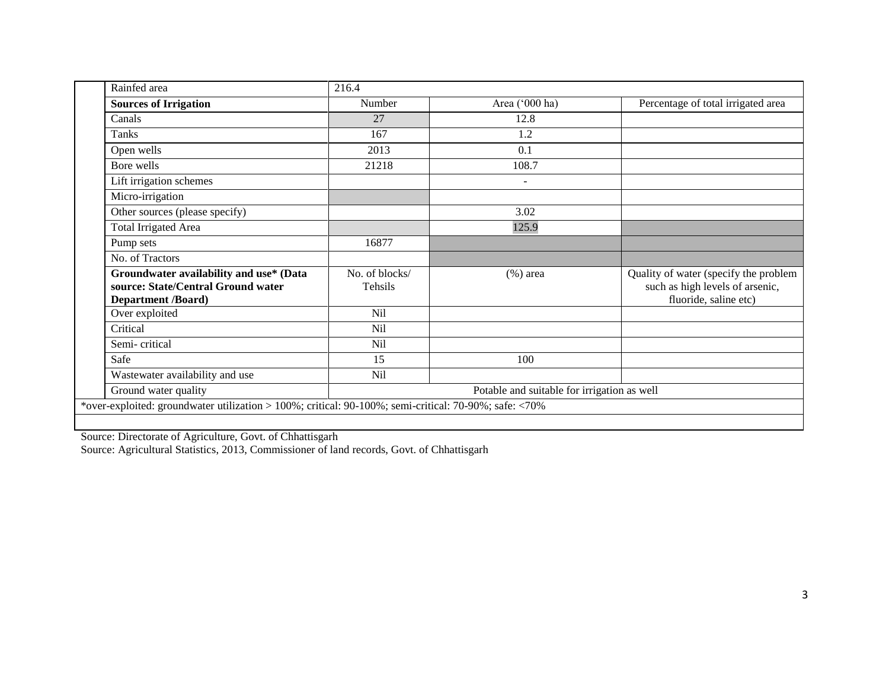| Rainfed area                                                                                          | 216.4          |                                             |                                                          |
|-------------------------------------------------------------------------------------------------------|----------------|---------------------------------------------|----------------------------------------------------------|
| <b>Sources of Irrigation</b>                                                                          | Number         | Area ('000 ha)                              | Percentage of total irrigated area                       |
| Canals                                                                                                | 27             | 12.8                                        |                                                          |
| Tanks                                                                                                 | 167            | 1.2                                         |                                                          |
| Open wells                                                                                            | 2013           | 0.1                                         |                                                          |
| Bore wells                                                                                            | 21218          | 108.7                                       |                                                          |
| Lift irrigation schemes                                                                               |                | ۰                                           |                                                          |
| Micro-irrigation                                                                                      |                |                                             |                                                          |
| Other sources (please specify)                                                                        |                | 3.02                                        |                                                          |
| <b>Total Irrigated Area</b>                                                                           |                | 125.9                                       |                                                          |
| Pump sets                                                                                             | 16877          |                                             |                                                          |
| No. of Tractors                                                                                       |                |                                             |                                                          |
| Groundwater availability and use* (Data                                                               | No. of blocks/ | $(\%)$ area                                 | Quality of water (specify the problem                    |
| source: State/Central Ground water<br><b>Department /Board)</b>                                       | <b>Tehsils</b> |                                             | such as high levels of arsenic,<br>fluoride, saline etc) |
| Over exploited                                                                                        | Nil            |                                             |                                                          |
| Critical                                                                                              | Nil            |                                             |                                                          |
| Semi-critical                                                                                         | Nil            |                                             |                                                          |
| Safe                                                                                                  | 15             | 100                                         |                                                          |
| Wastewater availability and use                                                                       | Nil            |                                             |                                                          |
| Ground water quality                                                                                  |                | Potable and suitable for irrigation as well |                                                          |
| *over-exploited: groundwater utilization > 100%; critical: 90-100%; semi-critical: 70-90%; safe: <70% |                |                                             |                                                          |
|                                                                                                       |                |                                             |                                                          |

Source: Directorate of Agriculture, Govt. of Chhattisgarh

Source: Agricultural Statistics, 2013, Commissioner of land records, Govt. of Chhattisgarh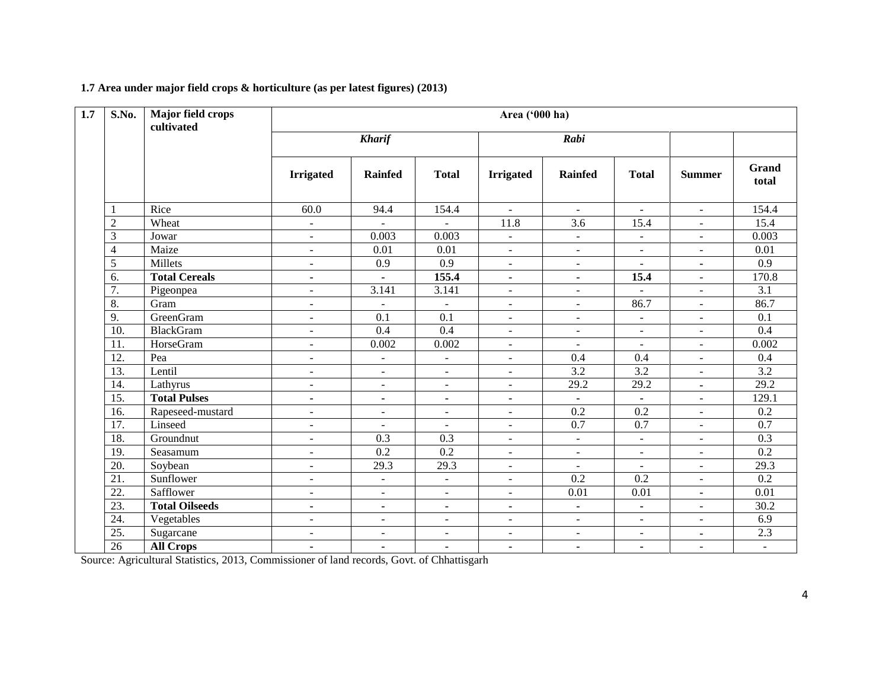#### **1.7 Area under major field crops & horticulture (as per latest figures) (2013)**

| $\overline{1.7}$ | S.No.             | Major field crops<br>cultivated | Area ('000 ha)           |                          |                          |                          |                |                          |                          |                  |
|------------------|-------------------|---------------------------------|--------------------------|--------------------------|--------------------------|--------------------------|----------------|--------------------------|--------------------------|------------------|
|                  |                   |                                 |                          | <b>Kharif</b>            |                          | Rabi                     |                |                          |                          |                  |
|                  |                   |                                 | <b>Irrigated</b>         | <b>Rainfed</b>           | <b>Total</b>             | <b>Irrigated</b>         | <b>Rainfed</b> | <b>Total</b>             | <b>Summer</b>            | Grand<br>total   |
|                  |                   | Rice                            | 60.0                     | 94.4                     | 154.4                    | $\sim$                   | $\sim$         | $\sim$                   | $\blacksquare$           | 154.4            |
|                  | $\overline{2}$    | Wheat                           | $\sim$                   | $\overline{a}$           | $\blacksquare$           | 11.8                     | 3.6            | 15.4                     | $\sim$                   | 15.4             |
|                  | 3                 | Jowar                           | $\sim$                   | 0.003                    | 0.003                    | $\sim$                   | $\sim$         | $\overline{\phantom{a}}$ | $\sim$                   | 0.003            |
|                  | $\overline{4}$    | Maize                           | $\sim$                   | 0.01                     | 0.01                     | $\blacksquare$           | $\sim$         | $\blacksquare$           | $\blacksquare$           | 0.01             |
|                  | 5                 | Millets                         | $\blacksquare$           | 0.9                      | 0.9                      | $\mathbf{r}$             | $\sim$         | $\overline{\phantom{a}}$ | $\blacksquare$           | 0.9              |
|                  | 6.                | <b>Total Cereals</b>            | $\blacksquare$           | $\blacksquare$           | 155.4                    | ٠                        | $\blacksquare$ | 15.4                     | $\overline{\phantom{a}}$ | 170.8            |
|                  | 7.                | Pigeonpea                       | $\overline{a}$           | 3.141                    | 3.141                    | $\blacksquare$           | $\blacksquare$ | $\overline{a}$           | $\sim$                   | 3.1              |
|                  | 8.                | Gram                            | $\blacksquare$           | $\blacksquare$           | $\blacksquare$           | $\blacksquare$           | $\blacksquare$ | 86.7                     | $\overline{\phantom{a}}$ | 86.7             |
|                  | 9.                | GreenGram                       | $\blacksquare$           | 0.1                      | 0.1                      | $\blacksquare$           | $\sim$         | $\blacksquare$           | $\overline{\phantom{a}}$ | 0.1              |
|                  | 10.               | <b>BlackGram</b>                | $\sim$                   | 0.4                      | 0.4                      | $\blacksquare$           | $\blacksquare$ | $\blacksquare$           | $\overline{\phantom{a}}$ | $\overline{0.4}$ |
|                  | 11.               | HorseGram                       | $\sim$                   | 0.002                    | 0.002                    | $\blacksquare$           | $\sim$         | $\overline{a}$           | $\sim$                   | 0.002            |
|                  | 12.               | Pea                             | $\overline{\phantom{a}}$ | $\overline{\phantom{a}}$ | $\overline{\phantom{a}}$ | $\blacksquare$           | 0.4            | 0.4                      | $\blacksquare$           | 0.4              |
|                  | 13.               | Lentil                          | $\blacksquare$           | $\overline{\phantom{a}}$ | $\blacksquare$           | $\sim$                   | 3.2            | 3.2                      | $\blacksquare$           | 3.2              |
|                  | 14.               | Lathyrus                        | $\blacksquare$           | $\blacksquare$           | $\sim$                   | $\sim$                   | 29.2           | 29.2                     | $\blacksquare$           | 29.2             |
|                  | 15.               | <b>Total Pulses</b>             | $\blacksquare$           | $\blacksquare$           | ٠                        | ٠                        | $\sim$         | $\blacksquare$           | $\overline{\phantom{a}}$ | 129.1            |
|                  | 16.               | Rapeseed-mustard                | $\overline{\phantom{a}}$ | $\overline{\phantom{a}}$ | $\blacksquare$           | $\blacksquare$           | 0.2            | 0.2                      | $\overline{\phantom{a}}$ | 0.2              |
|                  | $\overline{17}$ . | Linseed                         | $\overline{\phantom{a}}$ | $\blacksquare$           | $\sim$                   | $\blacksquare$           | 0.7            | 0.7                      | $\overline{\phantom{a}}$ | 0.7              |
|                  | 18.               | Groundnut                       | $\overline{\phantom{a}}$ | $\overline{0.3}$         | 0.3                      | $\blacksquare$           | $\blacksquare$ | $\blacksquare$           | $\overline{\phantom{a}}$ | $\overline{0.3}$ |
|                  | 19.               | Seasamum                        | $\sim$                   | $\overline{0.2}$         | 0.2                      | $\blacksquare$           | $\sim$         | $\sim$                   | $\sim$                   | $\overline{0.2}$ |
|                  | 20.               | Soybean                         | $\overline{\phantom{a}}$ | 29.3                     | 29.3                     | $\blacksquare$           | $\blacksquare$ | $\overline{\phantom{a}}$ | $\overline{\phantom{a}}$ | 29.3             |
|                  | 21.               | Sunflower                       | $\sim$                   | $\overline{\phantom{a}}$ | $\blacksquare$           | $\blacksquare$           | 0.2            | 0.2                      | $\overline{\phantom{a}}$ | 0.2              |
|                  | 22.               | Safflower                       | $\blacksquare$           | $\blacksquare$           | $\sim$                   | $\blacksquare$           | 0.01           | 0.01                     | $\blacksquare$           | 0.01             |
|                  | 23.               | <b>Total Oilseeds</b>           | $\blacksquare$           | $\blacksquare$           | ٠                        | ٠                        | $\blacksquare$ | $\blacksquare$           | $\sim$                   | 30.2             |
|                  | 24.               | Vegetables                      | $\blacksquare$           | $\overline{\phantom{a}}$ | $\overline{\phantom{a}}$ | $\overline{\phantom{a}}$ |                | $\overline{\phantom{a}}$ | $\overline{\phantom{a}}$ | 6.9              |
|                  | 25.               | Sugarcane                       | $\sim$                   | $\blacksquare$           | $\blacksquare$           | $\blacksquare$           | $\sim$         | $\overline{\phantom{a}}$ | $\blacksquare$           | 2.3              |
|                  | 26                | <b>All Crops</b>                | $\blacksquare$           | $\blacksquare$           | $\blacksquare$           | ٠                        | $\blacksquare$ | $\blacksquare$           | $\blacksquare$           | $\mathbf{u}$     |

Source: Agricultural Statistics, 2013, Commissioner of land records, Govt. of Chhattisgarh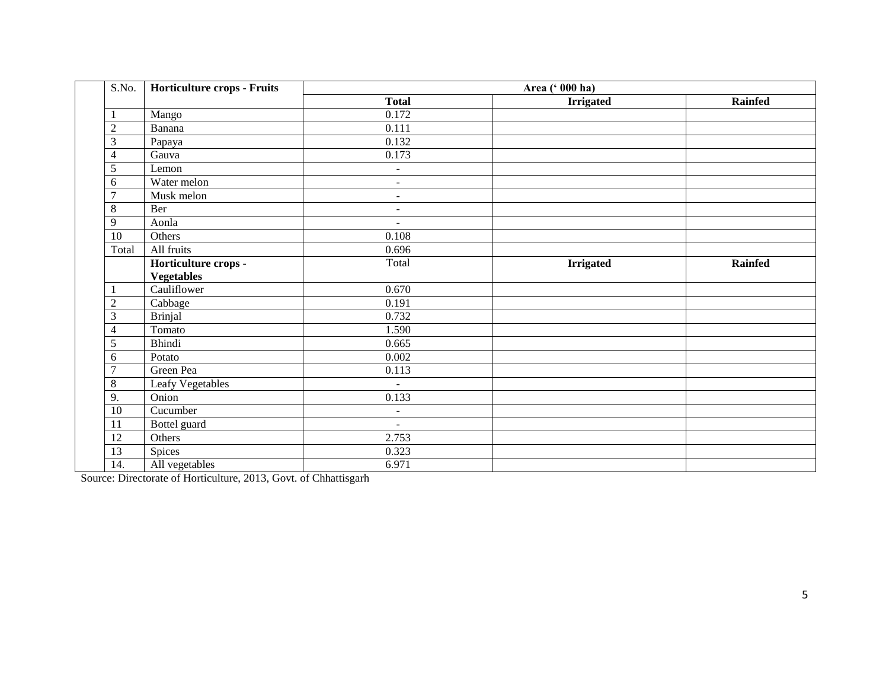| S.No.           | Horticulture crops - Fruits |                | Area (' 000 ha)  |                |
|-----------------|-----------------------------|----------------|------------------|----------------|
|                 |                             | <b>Total</b>   | <b>Irrigated</b> | Rainfed        |
| 1               | Mango                       | 0.172          |                  |                |
| $\overline{2}$  | Banana                      | 0.111          |                  |                |
| 3               | Papaya                      | 0.132          |                  |                |
| $\overline{4}$  | Gauva                       | 0.173          |                  |                |
| 5               | Lemon                       | $\blacksquare$ |                  |                |
| 6               | Water melon                 | $\blacksquare$ |                  |                |
| $\overline{7}$  | Musk melon                  | $\blacksquare$ |                  |                |
| 8               | Ber                         | $\blacksquare$ |                  |                |
| 9               | Aonla                       | $\blacksquare$ |                  |                |
| 10              | Others                      | 0.108          |                  |                |
| Total           | All fruits                  | 0.696          |                  |                |
|                 | Horticulture crops -        | Total          | <b>Irrigated</b> | <b>Rainfed</b> |
|                 | <b>Vegetables</b>           |                |                  |                |
|                 | Cauliflower                 | 0.670          |                  |                |
| $\overline{2}$  | Cabbage                     | 0.191          |                  |                |
| 3               | <b>Brinjal</b>              | 0.732          |                  |                |
| 4               | Tomato                      | 1.590          |                  |                |
| 5               | Bhindi                      | 0.665          |                  |                |
| 6               | Potato                      | 0.002          |                  |                |
| $\overline{7}$  | Green Pea                   | 0.113          |                  |                |
| $\,8\,$         | Leafy Vegetables            | $\mathbf{r}$   |                  |                |
| 9.              | Onion                       | 0.133          |                  |                |
| $\overline{10}$ | Cucumber                    | $\blacksquare$ |                  |                |
| 11              | Bottel guard                | $\blacksquare$ |                  |                |
| $\overline{12}$ | Others                      | 2.753          |                  |                |
| $\overline{13}$ | Spices                      | 0.323          |                  |                |
| 14.             | All vegetables              | 6.971          |                  |                |

Source: Directorate of Horticulture, 2013, Govt. of Chhattisgarh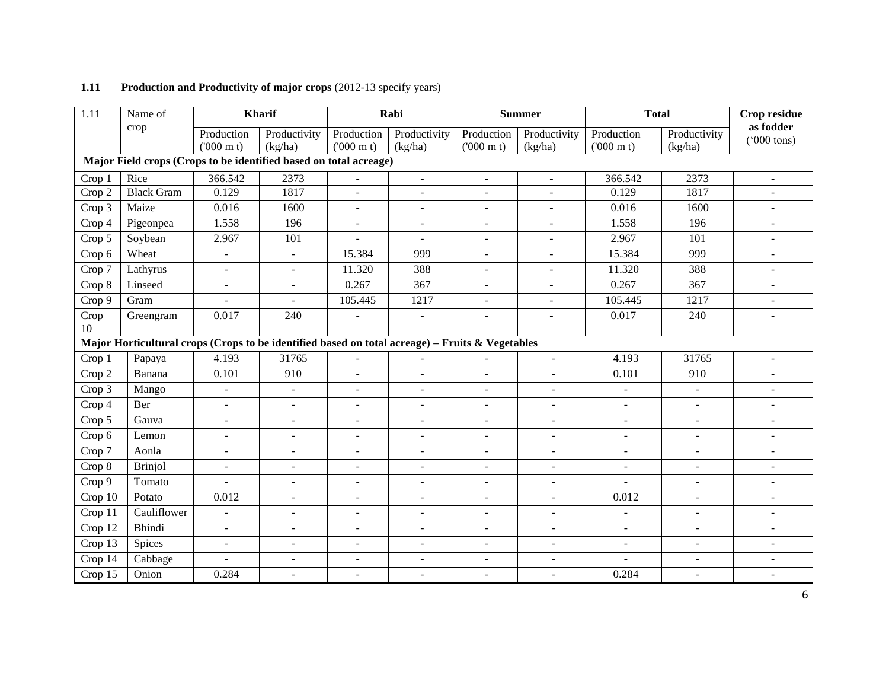| 1.11       | Name of                                                                                         |                          | Kharif                   |                          | Rabi                     |                          | <b>Summer</b>            | <b>Total</b>             |                          | Crop residue                       |
|------------|-------------------------------------------------------------------------------------------------|--------------------------|--------------------------|--------------------------|--------------------------|--------------------------|--------------------------|--------------------------|--------------------------|------------------------------------|
|            | crop                                                                                            | Production               | Productivity             | Production               | Productivity             | Production               | Productivity             | Production               | Productivity             | as fodder<br>$(5000 \text{ tons})$ |
|            |                                                                                                 | $(000 \text{ m})$        | (kg/ha)                  | $(000 \text{ m})$        | (kg/ha)                  | $(000 \text{ m})$        | (kg/ha)                  | $(000 \text{ m})$        | (kg/ha)                  |                                    |
|            | Major Field crops (Crops to be identified based on total acreage)                               |                          |                          |                          |                          |                          |                          |                          |                          |                                    |
| Crop 1     | Rice                                                                                            | 366.542                  | 2373                     | $\blacksquare$           | $\blacksquare$           | $\blacksquare$           | $\blacksquare$           | 366.542                  | 2373                     | $\blacksquare$                     |
| Crop 2     | <b>Black Gram</b>                                                                               | 0.129                    | 1817                     | $\blacksquare$           | $\blacksquare$           | $\overline{a}$           | $\blacksquare$           | 0.129                    | 1817                     |                                    |
| Crop 3     | Maize                                                                                           | 0.016                    | 1600                     | $\blacksquare$           | $\blacksquare$           | ÷.                       | $\blacksquare$           | 0.016                    | 1600                     |                                    |
| Crop 4     | Pigeonpea                                                                                       | 1.558                    | 196                      | $\blacksquare$           | $\blacksquare$           | $\blacksquare$           | $\blacksquare$           | 1.558                    | 196                      | $\blacksquare$                     |
| Crop 5     | Soybean                                                                                         | 2.967                    | 101                      | $\mathbf{r}$             | $\blacksquare$           | $\overline{a}$           | $\overline{\phantom{a}}$ | 2.967                    | 101                      | $\blacksquare$                     |
| Crop 6     | Wheat                                                                                           | $\blacksquare$           | $\overline{\phantom{a}}$ | 15.384                   | 999                      | $\overline{\phantom{a}}$ | $\overline{\phantom{a}}$ | 15.384                   | 999                      | $\overline{\phantom{a}}$           |
| Crop 7     | Lathyrus                                                                                        | $\bar{\mathcal{L}}$      | $\omega$                 | 11.320                   | 388                      | $\overline{a}$           | $\overline{\phantom{a}}$ | 11.320                   | 388                      | $\blacksquare$                     |
| Crop 8     | Linseed                                                                                         | $\overline{\phantom{a}}$ | $\blacksquare$           | 0.267                    | 367                      | $\overline{a}$           | $\overline{\phantom{a}}$ | 0.267                    | 367                      | $\blacksquare$                     |
| Crop 9     | Gram                                                                                            | ÷,                       | $\blacksquare$           | 105.445                  | 1217                     | $\blacksquare$           | $\blacksquare$           | 105.445                  | 1217                     |                                    |
| Crop<br>10 | Greengram                                                                                       | 0.017                    | 240                      |                          | $\overline{a}$           |                          | $\sim$                   | 0.017                    | 240                      |                                    |
|            | Major Horticultural crops (Crops to be identified based on total acreage) - Fruits & Vegetables |                          |                          |                          |                          |                          |                          |                          |                          |                                    |
| Crop 1     | Papaya                                                                                          | 4.193                    | 31765                    | $\overline{\phantom{a}}$ | $\blacksquare$           |                          | $\omega$                 | 4.193                    | 31765                    | $\mathbf{r}$                       |
| Crop 2     | Banana                                                                                          | 0.101                    | 910                      | $\overline{a}$           | $\blacksquare$           | ÷.                       | $\blacksquare$           | 0.101                    | $\overline{910}$         |                                    |
| Crop 3     | Mango                                                                                           | $\equiv$                 | $\equiv$                 | $\overline{a}$           | $\blacksquare$           | $\overline{a}$           | $\sim$                   | $\overline{\phantom{a}}$ | $\mathbf{r}$             |                                    |
| Crop 4     | Ber                                                                                             | $\overline{a}$           | $\sim$                   | $\overline{a}$           | $\overline{a}$           |                          | $\sim$                   | $\overline{a}$           | $\overline{a}$           |                                    |
| Crop 5     | Gauva                                                                                           | $\blacksquare$           | $\blacksquare$           | $\overline{a}$           | $\blacksquare$           | $\blacksquare$           | $\overline{\phantom{a}}$ | $\overline{\phantom{a}}$ | $\overline{\phantom{a}}$ |                                    |
| Crop 6     | Lemon                                                                                           | $\overline{\phantom{a}}$ | $\blacksquare$           | $\sim$                   | $\blacksquare$           | $\blacksquare$           | $\blacksquare$           | $\mathbf{r}$             | $\blacksquare$           | $\blacksquare$                     |
| Crop 7     | Aonla                                                                                           | $\overline{a}$           | $\sim$                   | $\overline{a}$           | L.                       | ٠                        | $\overline{\phantom{a}}$ | $\sim$                   | $\overline{a}$           |                                    |
| Crop 8     | <b>Brinjol</b>                                                                                  | $\overline{\phantom{a}}$ | $\blacksquare$           | $\overline{\phantom{a}}$ | $\equiv$                 | $\blacksquare$           | $\overline{a}$           | $\mathbf{r}$             | $\blacksquare$           | $\blacksquare$                     |
| Crop 9     | Tomato                                                                                          |                          | $\sim$                   | $\overline{\phantom{a}}$ | $\overline{a}$           | $\sim$                   | $\sim$                   |                          | $\overline{a}$           |                                    |
| Crop 10    | Potato                                                                                          | 0.012                    | $\mathbf{r}$             | $\overline{a}$           | $\blacksquare$           | $\sim$                   | $\sim$                   | 0.012                    | $\blacksquare$           | $\blacksquare$                     |
| Crop 11    | Cauliflower                                                                                     | $\mathbb{Z}^2$           | $\mathbf{r}$             | $\sim$                   | $\blacksquare$           | $\blacksquare$           | $\blacksquare$           | $\mathbf{r}$             | $\blacksquare$           | $\blacksquare$                     |
| Crop 12    | Bhindi                                                                                          | $\blacksquare$           | $\blacksquare$           | $\overline{a}$           | $\overline{\phantom{a}}$ | $\overline{\phantom{a}}$ | $\blacksquare$           | $\blacksquare$           | $\overline{\phantom{a}}$ | $\overline{\phantom{a}}$           |
| Crop 13    | Spices                                                                                          | $\overline{a}$           | $\overline{a}$           | $\overline{a}$           | $\overline{a}$           | $\blacksquare$           | $\equiv$                 | $\overline{\phantom{a}}$ | $\overline{a}$           |                                    |
| Crop 14    | Cabbage                                                                                         |                          | $\overline{a}$           | $\overline{\phantom{a}}$ | $\overline{a}$           | $\blacksquare$           | $\overline{a}$           |                          | $\overline{a}$           |                                    |
| Crop 15    | Onion                                                                                           | 0.284                    | $\mathbf{r}$             | $\overline{a}$           | $\blacksquare$           | $\blacksquare$           | $\sim$                   | 0.284                    | $\omega$                 | $\blacksquare$                     |

### **1.11** Production and Productivity of major crops (2012-13 specify years)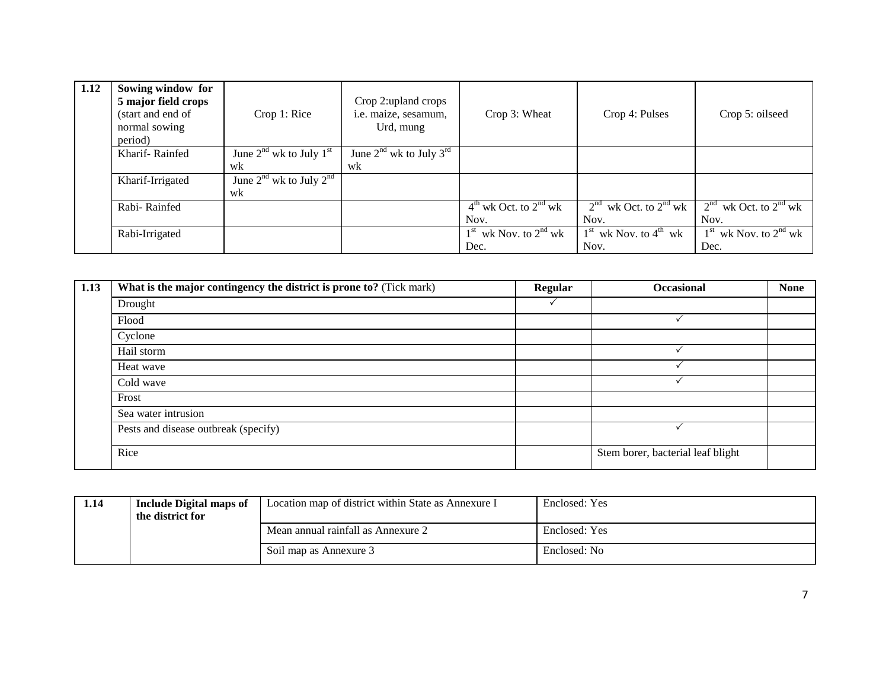| 1.12 | Sowing window for<br>5 major field crops<br>(start and end of<br>normal sowing<br>period) | Crop 1: Rice                | Crop 2: upland crops<br>i.e. maize, sesamum,<br>Urd, mung | Crop 3: Wheat             | Crop 4: Pulses            | Crop 5: oilseed           |
|------|-------------------------------------------------------------------------------------------|-----------------------------|-----------------------------------------------------------|---------------------------|---------------------------|---------------------------|
|      | Kharif-Rainfed                                                                            | June $2nd$ wk to July $1st$ | June $2nd$ wk to July $3rd$                               |                           |                           |                           |
|      |                                                                                           | wk                          | wk                                                        |                           |                           |                           |
|      | Kharif-Irrigated                                                                          | June $2nd$ wk to July $2nd$ |                                                           |                           |                           |                           |
|      |                                                                                           | wk                          |                                                           |                           |                           |                           |
|      | Rabi-Rainfed                                                                              |                             |                                                           | $4th$ wk Oct. to $2nd$ wk | $2nd$ wk Oct. to $2nd$ wk | $2nd$ wk Oct. to $2nd$ wk |
|      |                                                                                           |                             |                                                           | Nov.                      | Nov.                      | Nov.                      |
|      | Rabi-Irrigated                                                                            |                             |                                                           | $1st$ wk Nov. to $2nd$ wk | $1st$ wk Nov. to $4th$ wk | $1st$ wk Nov. to $2nd$ wk |
|      |                                                                                           |                             |                                                           | Dec.                      | Nov.                      | Dec.                      |

| 1.13 | What is the major contingency the district is prone to? (Tick mark) | <b>Regular</b> | <b>Occasional</b>                 | <b>None</b> |
|------|---------------------------------------------------------------------|----------------|-----------------------------------|-------------|
|      | Drought                                                             |                |                                   |             |
|      | Flood                                                               |                |                                   |             |
|      | Cyclone                                                             |                |                                   |             |
|      | Hail storm                                                          |                |                                   |             |
|      | Heat wave                                                           |                |                                   |             |
|      | Cold wave                                                           |                |                                   |             |
|      | Frost                                                               |                |                                   |             |
|      | Sea water intrusion                                                 |                |                                   |             |
|      | Pests and disease outbreak (specify)                                |                |                                   |             |
|      | Rice                                                                |                | Stem borer, bacterial leaf blight |             |

| 1.14 | <b>Include Digital maps of</b><br>the district for | Location map of district within State as Annexure I | Enclosed: Yes |
|------|----------------------------------------------------|-----------------------------------------------------|---------------|
|      |                                                    | Mean annual rainfall as Annexure 2                  | Enclosed: Yes |
|      |                                                    | Soil map as Annexure 3                              | Enclosed: No  |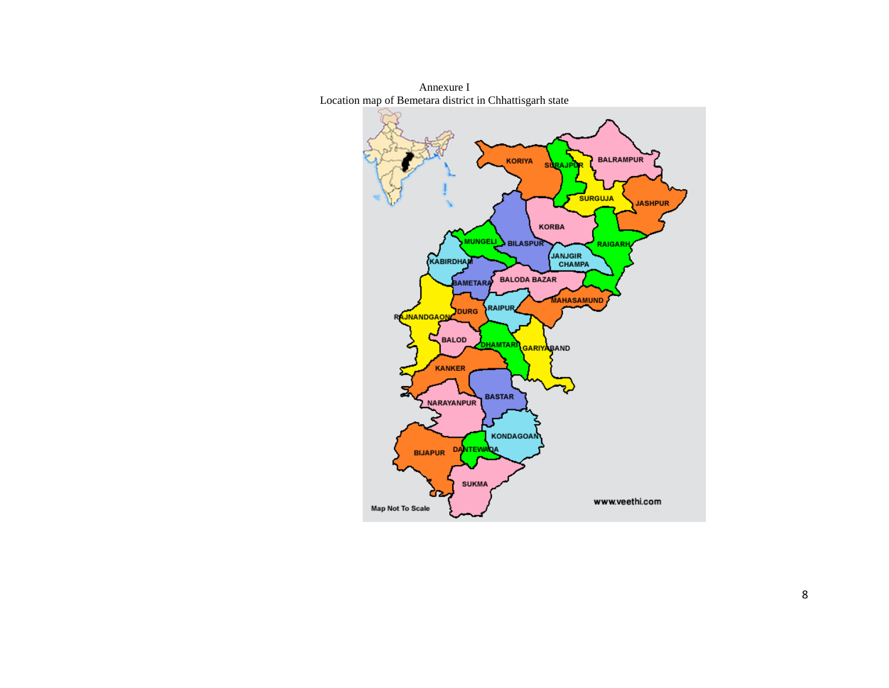

Annexure I Location map of Bemetara district in Chhattisgarh state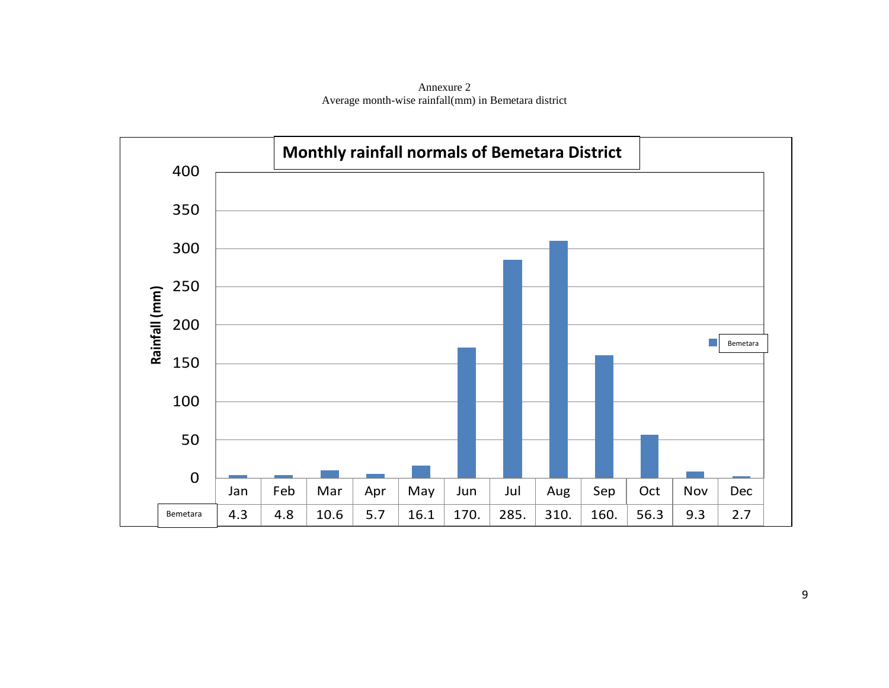Annexure 2 Average month-wise rainfall(mm) in Bemetara district

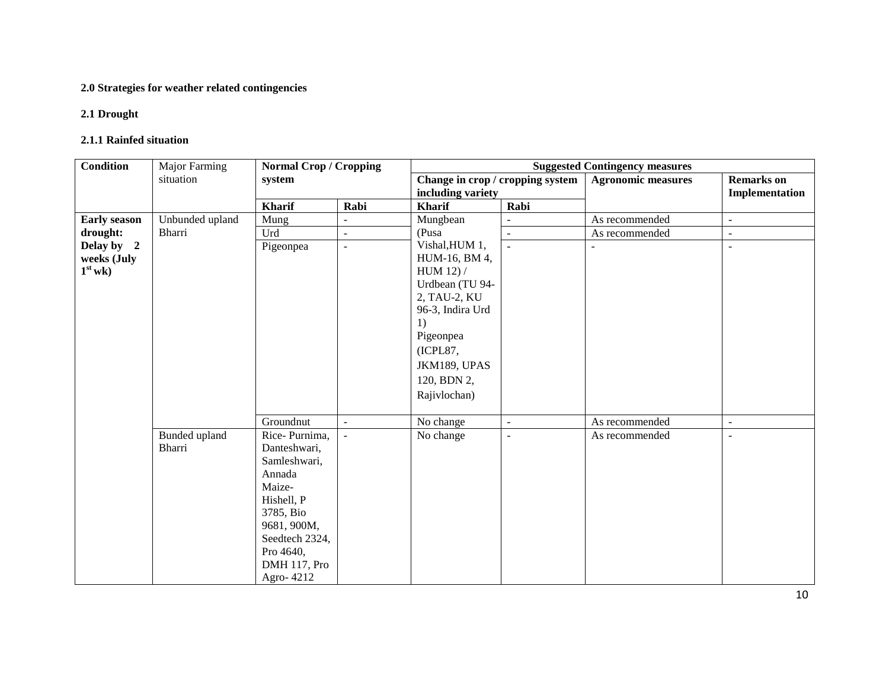#### **2.0 Strategies for weather related contingencies**

#### **2.1 Drought**

#### **2.1.1 Rainfed situation**

| <b>Condition</b>    | <b>Major Farming</b><br><b>Normal Crop / Cropping</b> |                |                     |                                  |                          | <b>Suggested Contingency measures</b> |                          |
|---------------------|-------------------------------------------------------|----------------|---------------------|----------------------------------|--------------------------|---------------------------------------|--------------------------|
|                     | situation                                             | system         |                     | Change in crop / cropping system |                          | <b>Agronomic measures</b>             | <b>Remarks</b> on        |
|                     |                                                       |                |                     | including variety                |                          |                                       | Implementation           |
|                     |                                                       | <b>Kharif</b>  | Rabi                | <b>Kharif</b>                    | Rabi                     |                                       |                          |
| <b>Early season</b> | Unbunded upland                                       | Mung           | $\sim$              | Mungbean                         |                          | As recommended                        | $\sim$                   |
| drought:            | Bharri                                                | Urd            | $\blacksquare$      | (Pusa                            | $\blacksquare$           | As recommended                        | $\overline{\phantom{a}}$ |
| Delay by 2          |                                                       | Pigeonpea      | $\bar{\mathcal{L}}$ | Vishal, HUM 1,                   | $\mathbf{r}$             |                                       |                          |
| weeks (July         |                                                       |                |                     | HUM-16, BM 4,                    |                          |                                       |                          |
| $1st$ wk)           |                                                       |                |                     | HUM 12) /                        |                          |                                       |                          |
|                     |                                                       |                |                     | Urdbean (TU 94-                  |                          |                                       |                          |
|                     |                                                       |                |                     | 2, TAU-2, KU<br>96-3, Indira Urd |                          |                                       |                          |
|                     |                                                       |                |                     | 1)                               |                          |                                       |                          |
|                     |                                                       |                |                     | Pigeonpea                        |                          |                                       |                          |
|                     |                                                       |                |                     | (ICPL87,                         |                          |                                       |                          |
|                     |                                                       |                |                     | JKM189, UPAS                     |                          |                                       |                          |
|                     |                                                       |                |                     |                                  |                          |                                       |                          |
|                     |                                                       |                |                     | 120, BDN 2,                      |                          |                                       |                          |
|                     |                                                       |                |                     | Rajivlochan)                     |                          |                                       |                          |
|                     |                                                       | Groundnut      | $\blacksquare$      | No change                        | $\overline{\phantom{a}}$ | As recommended                        | $\overline{\phantom{a}}$ |
|                     | Bunded upland                                         | Rice-Purnima,  | $\equiv$            | No change                        | $\blacksquare$           | As recommended                        | $\blacksquare$           |
|                     | Bharri                                                | Danteshwari,   |                     |                                  |                          |                                       |                          |
|                     |                                                       | Samleshwari,   |                     |                                  |                          |                                       |                          |
|                     |                                                       | Annada         |                     |                                  |                          |                                       |                          |
|                     |                                                       | Maize-         |                     |                                  |                          |                                       |                          |
|                     |                                                       | Hishell, P     |                     |                                  |                          |                                       |                          |
|                     |                                                       | 3785, Bio      |                     |                                  |                          |                                       |                          |
|                     |                                                       | 9681, 900M,    |                     |                                  |                          |                                       |                          |
|                     |                                                       | Seedtech 2324, |                     |                                  |                          |                                       |                          |
|                     |                                                       | Pro 4640,      |                     |                                  |                          |                                       |                          |
|                     |                                                       | DMH 117, Pro   |                     |                                  |                          |                                       |                          |
|                     |                                                       | Agro-4212      |                     |                                  |                          |                                       |                          |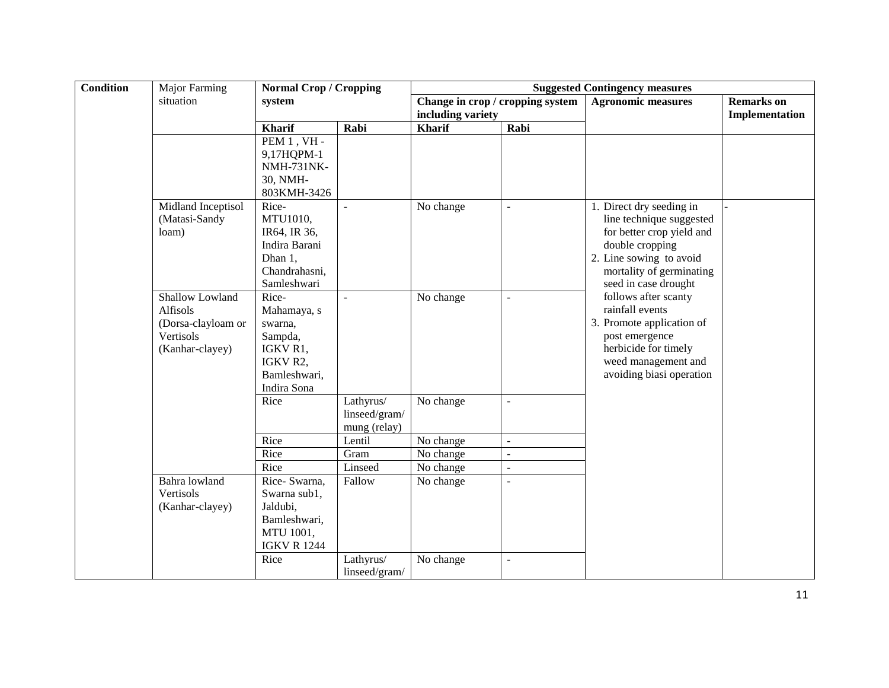| <b>Condition</b> | <b>Major Farming</b> | <b>Normal Crop / Cropping</b> |                | <b>Suggested Contingency measures</b> |                                  |                                                  |                                     |  |
|------------------|----------------------|-------------------------------|----------------|---------------------------------------|----------------------------------|--------------------------------------------------|-------------------------------------|--|
|                  | situation            | system                        |                | including variety                     | Change in crop / cropping system | <b>Agronomic measures</b>                        | <b>Remarks</b> on<br>Implementation |  |
|                  |                      | <b>Kharif</b>                 | Rabi           | <b>Kharif</b>                         | Rabi                             |                                                  |                                     |  |
|                  |                      | PEM 1, VH -                   |                |                                       |                                  |                                                  |                                     |  |
|                  |                      | 9,17HQPM-1                    |                |                                       |                                  |                                                  |                                     |  |
|                  |                      | <b>NMH-731NK-</b>             |                |                                       |                                  |                                                  |                                     |  |
|                  |                      | 30, NMH-                      |                |                                       |                                  |                                                  |                                     |  |
|                  |                      | 803KMH-3426                   |                |                                       |                                  |                                                  |                                     |  |
|                  | Midland Inceptisol   | Rice-                         | $\overline{a}$ | No change                             | $\blacksquare$                   | 1. Direct dry seeding in                         |                                     |  |
|                  | (Matasi-Sandy        | MTU1010,                      |                |                                       |                                  | line technique suggested                         |                                     |  |
|                  | loam)                | IR64, IR 36,                  |                |                                       |                                  | for better crop yield and                        |                                     |  |
|                  |                      | Indira Barani                 |                |                                       |                                  | double cropping                                  |                                     |  |
|                  |                      | Dhan 1,                       |                |                                       |                                  | 2. Line sowing to avoid                          |                                     |  |
|                  |                      | Chandrahasni,<br>Samleshwari  |                |                                       |                                  | mortality of germinating<br>seed in case drought |                                     |  |
|                  | Shallow Lowland      | Rice-                         | $\mathbf{r}$   | No change                             | $\sim$                           | follows after scanty                             |                                     |  |
|                  | Alfisols             | Mahamaya, s                   |                |                                       |                                  | rainfall events                                  |                                     |  |
|                  | (Dorsa-clayloam or   | swarna,                       |                |                                       |                                  | 3. Promote application of                        |                                     |  |
|                  | Vertisols            | Sampda,                       |                |                                       |                                  | post emergence                                   |                                     |  |
|                  | (Kanhar-clayey)      | IGKV R1,                      |                |                                       |                                  | herbicide for timely                             |                                     |  |
|                  |                      | IGKV R2,                      |                |                                       |                                  | weed management and                              |                                     |  |
|                  |                      | Bamleshwari,                  |                |                                       |                                  | avoiding biasi operation                         |                                     |  |
|                  |                      | Indira Sona                   |                |                                       |                                  |                                                  |                                     |  |
|                  |                      | Rice                          | Lathyrus/      | No change                             | $\overline{\phantom{a}}$         |                                                  |                                     |  |
|                  |                      |                               | linseed/gram/  |                                       |                                  |                                                  |                                     |  |
|                  |                      |                               | mung (relay)   |                                       |                                  |                                                  |                                     |  |
|                  |                      | Rice                          | Lentil         | No change                             | $\bar{\phantom{a}}$              |                                                  |                                     |  |
|                  |                      | Rice                          | Gram           | No change                             | $\equiv$                         |                                                  |                                     |  |
|                  | Bahra lowland        | Rice                          | Linseed        | No change                             | $\blacksquare$                   |                                                  |                                     |  |
|                  | Vertisols            | Rice-Swarna,<br>Swarna sub1,  | Fallow         | No change                             | $\sim$                           |                                                  |                                     |  |
|                  | (Kanhar-clayey)      | Jaldubi,                      |                |                                       |                                  |                                                  |                                     |  |
|                  |                      | Bamleshwari,                  |                |                                       |                                  |                                                  |                                     |  |
|                  |                      | MTU 1001,                     |                |                                       |                                  |                                                  |                                     |  |
|                  |                      | <b>IGKV R 1244</b>            |                |                                       |                                  |                                                  |                                     |  |
|                  |                      | Rice                          | Lathyrus/      | No change                             | $\blacksquare$                   |                                                  |                                     |  |
|                  |                      |                               | linseed/gram/  |                                       |                                  |                                                  |                                     |  |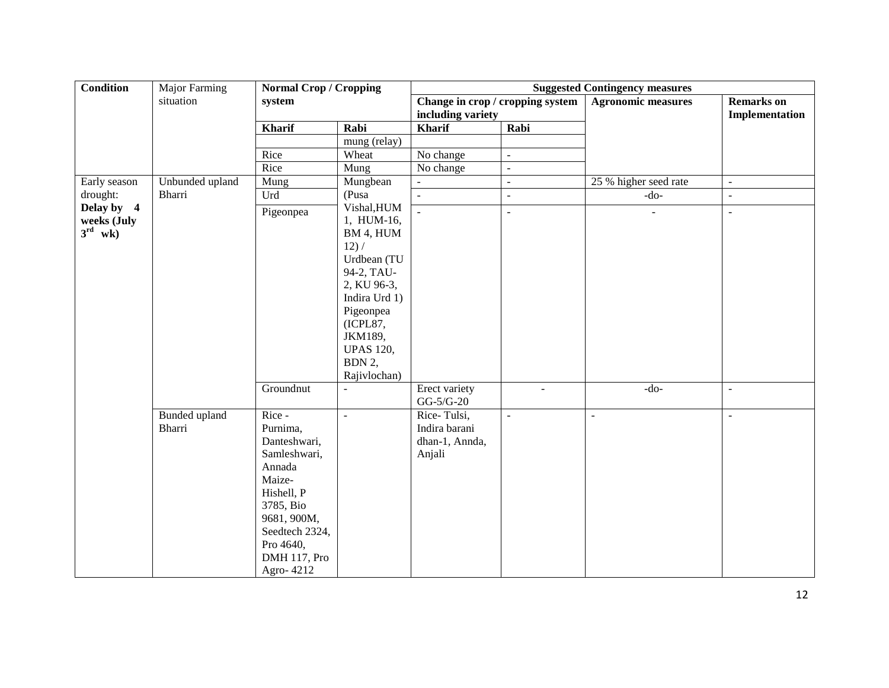| <b>Condition</b>                                 | <b>Major Farming</b>    | <b>Normal Crop / Cropping</b>                                                                                                                                                  |                                                                                                                                             | <b>Suggested Contingency measures</b>                    |                          |                           |                                     |  |
|--------------------------------------------------|-------------------------|--------------------------------------------------------------------------------------------------------------------------------------------------------------------------------|---------------------------------------------------------------------------------------------------------------------------------------------|----------------------------------------------------------|--------------------------|---------------------------|-------------------------------------|--|
|                                                  | situation               | system                                                                                                                                                                         |                                                                                                                                             | Change in crop / cropping system<br>including variety    |                          | <b>Agronomic measures</b> | <b>Remarks</b> on<br>Implementation |  |
|                                                  |                         | <b>Kharif</b>                                                                                                                                                                  | Rabi                                                                                                                                        | Kharif                                                   | Rabi                     |                           |                                     |  |
|                                                  |                         |                                                                                                                                                                                | mung (relay)                                                                                                                                |                                                          |                          |                           |                                     |  |
|                                                  |                         | Rice                                                                                                                                                                           | Wheat                                                                                                                                       | No change                                                | $\equiv$                 |                           |                                     |  |
|                                                  |                         | Rice                                                                                                                                                                           | Mung                                                                                                                                        | No change                                                | $\blacksquare$           |                           |                                     |  |
| Early season                                     | Unbunded upland         | Mung                                                                                                                                                                           | Mungbean                                                                                                                                    |                                                          | $\blacksquare$           | 25 % higher seed rate     | $\blacksquare$                      |  |
| drought:                                         | <b>Bharri</b>           | Urd                                                                                                                                                                            | (Pusa                                                                                                                                       | $\blacksquare$                                           | $\blacksquare$           | $-do-$                    | $\overline{a}$                      |  |
| Delay by 4<br>weeks (July<br>$3^{\text{rd}}$ wk) |                         | Pigeonpea                                                                                                                                                                      | Vishal, HUM<br>1, HUM-16,<br>BM 4, HUM<br>12) /                                                                                             |                                                          | $\overline{\phantom{a}}$ |                           | ÷,                                  |  |
|                                                  |                         |                                                                                                                                                                                | Urdbean (TU<br>94-2, TAU-<br>2, KU 96-3,<br>Indira Urd 1)<br>Pigeonpea<br>(ICPL87,<br>JKM189,<br><b>UPAS 120,</b><br>BDN 2,<br>Rajivlochan) |                                                          |                          |                           |                                     |  |
|                                                  |                         | Groundnut                                                                                                                                                                      | $\blacksquare$                                                                                                                              | Erect variety<br>$GG-5/G-20$                             | $\overline{\phantom{a}}$ | $-do-$                    | $\overline{\phantom{a}}$            |  |
|                                                  | Bunded upland<br>Bharri | $Rice -$<br>Purnima,<br>Danteshwari,<br>Samleshwari,<br>Annada<br>Maize-<br>Hishell, P<br>3785, Bio<br>9681, 900M,<br>Seedtech 2324,<br>Pro 4640,<br>DMH 117, Pro<br>Agro-4212 | $\bar{\mathcal{L}}$                                                                                                                         | Rice-Tulsi,<br>Indira barani<br>dhan-1, Annda,<br>Anjali | $\blacksquare$           | $\mathbb{Z}^2$            | $\bar{\mathcal{L}}$                 |  |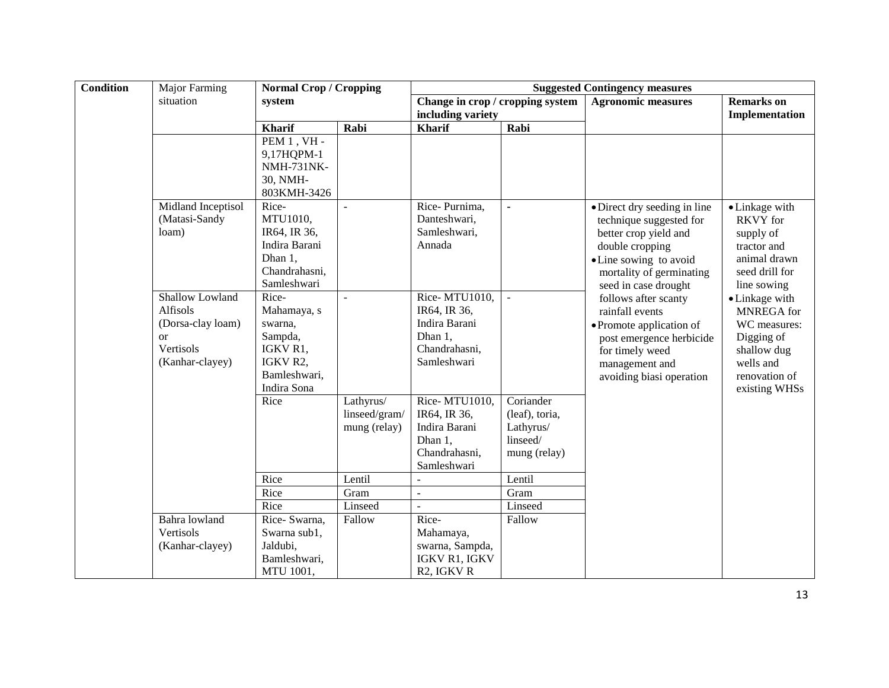| <b>Condition</b> | Major Farming              | <b>Normal Crop / Cropping</b> |                | <b>Suggested Contingency measures</b> |                |                                   |                           |  |
|------------------|----------------------------|-------------------------------|----------------|---------------------------------------|----------------|-----------------------------------|---------------------------|--|
|                  | situation                  | system                        |                | Change in crop / cropping system      |                | <b>Agronomic measures</b>         | <b>Remarks</b> on         |  |
|                  |                            |                               |                | including variety                     |                |                                   | Implementation            |  |
|                  |                            | <b>Kharif</b>                 | Rabi           | <b>Kharif</b>                         | Rabi           |                                   |                           |  |
|                  |                            | PEM 1, VH -                   |                |                                       |                |                                   |                           |  |
|                  |                            | 9,17HQPM-1                    |                |                                       |                |                                   |                           |  |
|                  |                            | <b>NMH-731NK-</b><br>30, NMH- |                |                                       |                |                                   |                           |  |
|                  |                            | 803KMH-3426                   |                |                                       |                |                                   |                           |  |
|                  | Midland Inceptisol         | Rice-                         | $\overline{a}$ | Rice-Purnima,                         |                | • Direct dry seeding in line      | • Linkage with            |  |
|                  | (Matasi-Sandy              | MTU1010,                      |                | Danteshwari,                          |                | technique suggested for           | <b>RKVY</b> for           |  |
|                  | loam)                      | IR64, IR 36,                  |                | Samleshwari,                          |                | better crop yield and             | supply of                 |  |
|                  |                            | Indira Barani                 |                | Annada                                |                | double cropping                   | tractor and               |  |
|                  |                            | Dhan 1,                       |                |                                       |                | • Line sowing to avoid            | animal drawn              |  |
|                  |                            | Chandrahasni,                 |                |                                       |                | mortality of germinating          | seed drill for            |  |
|                  |                            | Samleshwari                   |                |                                       |                | seed in case drought              | line sowing               |  |
|                  | Shallow Lowland            | Rice-                         | $\overline{a}$ | Rice-MTU1010,                         | $\overline{a}$ | follows after scanty              | • Linkage with            |  |
|                  | Alfisols                   | Mahamaya, s                   |                | IR64, IR 36,                          |                | rainfall events                   | MNREGA for                |  |
|                  | (Dorsa-clay loam)          | swarna,<br>Sampda,            |                | Indira Barani<br>Dhan 1,              |                | • Promote application of          | WC measures:              |  |
|                  | <sub>or</sub><br>Vertisols | IGKV R1,                      |                | Chandrahasni,                         |                | post emergence herbicide          | Digging of<br>shallow dug |  |
|                  | (Kanhar-clayey)            | IGKV R2,                      |                | Samleshwari                           |                | for timely weed<br>management and | wells and                 |  |
|                  |                            | Bamleshwari,                  |                |                                       |                | avoiding biasi operation          | renovation of             |  |
|                  |                            | Indira Sona                   |                |                                       |                |                                   | existing WHSs             |  |
|                  |                            | Rice                          | Lathyrus/      | Rice-MTU1010.                         | Coriander      |                                   |                           |  |
|                  |                            |                               | linseed/gram/  | IR64, IR 36,                          | (leaf), toria, |                                   |                           |  |
|                  |                            |                               | mung (relay)   | Indira Barani                         | Lathyrus/      |                                   |                           |  |
|                  |                            |                               |                | Dhan 1,                               | linseed/       |                                   |                           |  |
|                  |                            |                               |                | Chandrahasni,                         | mung (relay)   |                                   |                           |  |
|                  |                            | Rice                          | Lentil         | Samleshwari                           | Lentil         |                                   |                           |  |
|                  |                            | Rice                          | Gram           | ÷,                                    | Gram           |                                   |                           |  |
|                  |                            | Rice                          | Linseed        | ٠                                     | Linseed        |                                   |                           |  |
|                  | Bahra lowland              | Rice-Swarna,                  | Fallow         | Rice-                                 | Fallow         |                                   |                           |  |
|                  | Vertisols                  | Swarna sub1,                  |                | Mahamaya,                             |                |                                   |                           |  |
|                  | (Kanhar-clayey)            | Jaldubi,                      |                | swarna, Sampda,                       |                |                                   |                           |  |
|                  |                            | Bamleshwari,                  |                | IGKV R1, IGKV                         |                |                                   |                           |  |
|                  |                            | MTU 1001,                     |                | R <sub>2</sub> , IGKV <sub>R</sub>    |                |                                   |                           |  |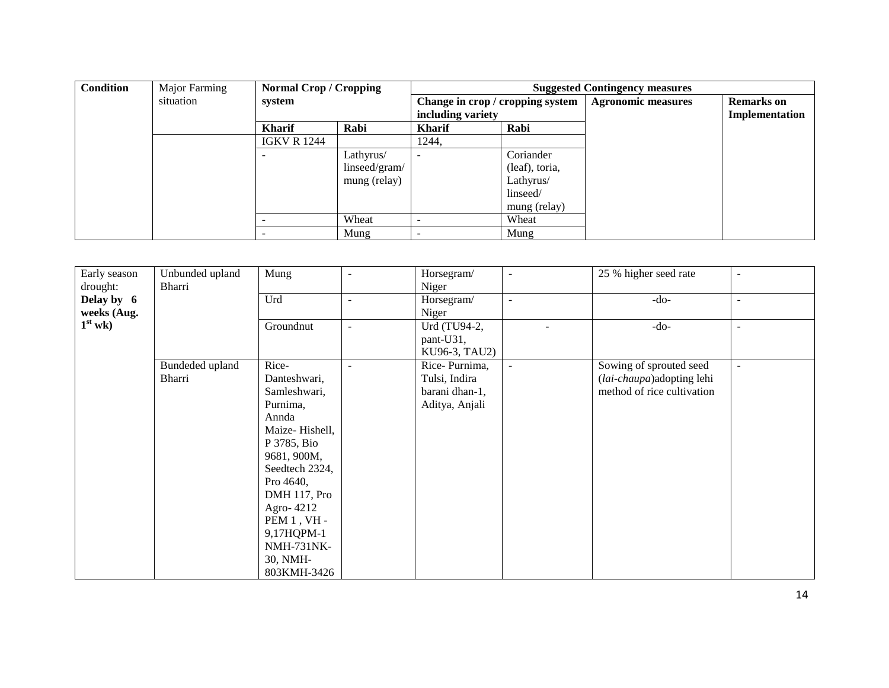| <b>Condition</b> | Major Farming | <b>Normal Crop / Cropping</b> |               | <b>Suggested Contingency measures</b> |                |                           |                   |  |
|------------------|---------------|-------------------------------|---------------|---------------------------------------|----------------|---------------------------|-------------------|--|
|                  | situation     | system                        |               | Change in crop / cropping system      |                | <b>Agronomic measures</b> | <b>Remarks</b> on |  |
|                  |               |                               |               | including variety                     |                |                           | Implementation    |  |
|                  |               | <b>Kharif</b>                 | Rabi          | <b>Kharif</b>                         | Rabi           |                           |                   |  |
|                  |               | <b>IGKV R 1244</b>            |               | 1244,                                 |                |                           |                   |  |
|                  |               |                               | Lathyrus/     | $\overline{\phantom{0}}$              | Coriander      |                           |                   |  |
|                  |               |                               | linseed/gram/ |                                       | (leaf), toria, |                           |                   |  |
|                  |               |                               | mung (relay)  |                                       | Lathyrus/      |                           |                   |  |
|                  |               |                               |               |                                       | linseed/       |                           |                   |  |
|                  |               |                               |               |                                       | mung (relay)   |                           |                   |  |
|                  |               |                               | Wheat         | $\overline{\phantom{a}}$              | Wheat          |                           |                   |  |
|                  |               |                               | Mung          |                                       | Mung           |                           |                   |  |

| Early season | Unbunded upland | Mung                | $\blacksquare$           | Horsegram/     | $\overline{\phantom{a}}$ | 25 % higher seed rate      | $\overline{\phantom{a}}$ |
|--------------|-----------------|---------------------|--------------------------|----------------|--------------------------|----------------------------|--------------------------|
| drought:     | Bharri          |                     |                          | Niger          |                          |                            |                          |
| Delay by 6   |                 | Urd                 | $\blacksquare$           | Horsegram/     | $\blacksquare$           | $-do-$                     | $\overline{\phantom{a}}$ |
| weeks (Aug.  |                 |                     |                          | Niger          |                          |                            |                          |
| $1st$ wk)    |                 | Groundnut           | $\overline{\phantom{a}}$ | Urd (TU94-2,   |                          | $-do-$                     | $\overline{\phantom{a}}$ |
|              |                 |                     |                          | pant-U31,      |                          |                            |                          |
|              |                 |                     |                          | KU96-3, TAU2)  |                          |                            |                          |
|              | Bundeded upland | Rice-               |                          | Rice-Purnima,  | $\overline{\phantom{a}}$ | Sowing of sprouted seed    | $\blacksquare$           |
|              | Bharri          | Danteshwari,        |                          | Tulsi, Indira  |                          | (lai-chaupa) adopting lehi |                          |
|              |                 | Samleshwari,        |                          | barani dhan-1, |                          | method of rice cultivation |                          |
|              |                 | Purnima,            |                          | Aditya, Anjali |                          |                            |                          |
|              |                 | Annda               |                          |                |                          |                            |                          |
|              |                 | Maize-Hishell,      |                          |                |                          |                            |                          |
|              |                 | P 3785, Bio         |                          |                |                          |                            |                          |
|              |                 | 9681, 900M,         |                          |                |                          |                            |                          |
|              |                 | Seedtech 2324,      |                          |                |                          |                            |                          |
|              |                 | Pro 4640,           |                          |                |                          |                            |                          |
|              |                 | <b>DMH</b> 117, Pro |                          |                |                          |                            |                          |
|              |                 | Agro-4212           |                          |                |                          |                            |                          |
|              |                 | PEM $1$ , VH -      |                          |                |                          |                            |                          |
|              |                 | 9,17HQPM-1          |                          |                |                          |                            |                          |
|              |                 | <b>NMH-731NK-</b>   |                          |                |                          |                            |                          |
|              |                 | 30, NMH-            |                          |                |                          |                            |                          |
|              |                 | 803KMH-3426         |                          |                |                          |                            |                          |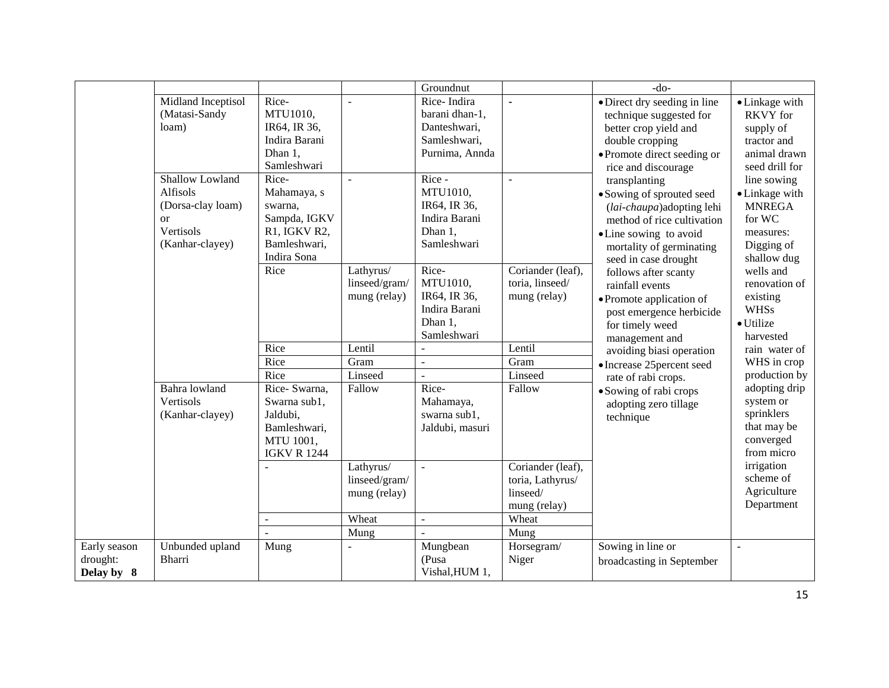|                                        |                                                                                                                                              |                                                                                                                                                                 |                                                                                   | Groundnut                                                                                                                                                        |                                                                                             | $-do-$                                                                                                                                                                                                                                                                                                                                                                                                                                                                                                                                                                                               |                                                                                                                                                                                        |
|----------------------------------------|----------------------------------------------------------------------------------------------------------------------------------------------|-----------------------------------------------------------------------------------------------------------------------------------------------------------------|-----------------------------------------------------------------------------------|------------------------------------------------------------------------------------------------------------------------------------------------------------------|---------------------------------------------------------------------------------------------|------------------------------------------------------------------------------------------------------------------------------------------------------------------------------------------------------------------------------------------------------------------------------------------------------------------------------------------------------------------------------------------------------------------------------------------------------------------------------------------------------------------------------------------------------------------------------------------------------|----------------------------------------------------------------------------------------------------------------------------------------------------------------------------------------|
|                                        | Midland Inceptisol<br>(Matasi-Sandy<br>loam)<br>Shallow Lowland<br>Alfisols<br>(Dorsa-clay loam)<br>$\alpha$<br>Vertisols<br>(Kanhar-clayey) | Rice-<br>MTU1010,<br>IR64, IR 36,<br>Indira Barani<br>Dhan 1,<br>Samleshwari<br>Rice-<br>Mahamaya, s<br>swarna,<br>Sampda, IGKV<br>R1, IGKV R2,<br>Bamleshwari, | $\overline{\phantom{a}}$<br>$\equiv$                                              | Rice-Indira<br>barani dhan-1,<br>Danteshwari,<br>Samleshwari,<br>Purnima, Annda<br>Rice -<br>MTU1010,<br>IR64, IR 36,<br>Indira Barani<br>Dhan 1,<br>Samleshwari | $\blacksquare$<br>$\overline{a}$                                                            | • Direct dry seeding in line<br>technique suggested for<br>better crop yield and<br>double cropping<br>• Promote direct seeding or<br>rice and discourage<br>transplanting<br>• Sowing of sprouted seed<br>(lai-chaupa) adopting lehi<br>method of rice cultivation<br>• Line sowing to avoid<br>mortality of germinating<br>seed in case drought<br>follows after scanty<br>rainfall events<br>• Promote application of<br>post emergence herbicide<br>for timely weed<br>management and<br>avoiding biasi operation<br>• Increase 25 percent seed<br>rate of rabi crops.<br>• Sowing of rabi crops | • Linkage with<br><b>RKVY</b> for<br>supply of<br>tractor and<br>animal drawn<br>seed drill for<br>line sowing<br>• Linkage with<br><b>MNREGA</b><br>for WC<br>measures:<br>Digging of |
| Bahra lowland                          | Vertisols                                                                                                                                    | Indira Sona<br>Rice<br>Rice<br>Rice<br>Rice<br>Rice-Swarna,<br>Swarna sub1,                                                                                     | Lathyrus/<br>linseed/gram/<br>mung (relay)<br>Lentil<br>Gram<br>Linseed<br>Fallow | Rice-<br>MTU1010,<br>IR64, IR 36,<br>Indira Barani<br>Dhan 1,<br>Samleshwari<br>$\overline{\phantom{a}}$<br>$\mathbb{Z}^2$<br>Rice-<br>Mahamaya,                 | Coriander (leaf),<br>toria, linseed/<br>mung (relay)<br>Lentil<br>Gram<br>Linseed<br>Fallow |                                                                                                                                                                                                                                                                                                                                                                                                                                                                                                                                                                                                      | shallow dug<br>wells and<br>renovation of<br>existing<br><b>WHSs</b><br>· Utilize<br>harvested<br>rain water of<br>WHS in crop<br>production by<br>adopting drip                       |
|                                        | (Kanhar-clayey)                                                                                                                              | Jaldubi,<br>Bamleshwari,<br>MTU 1001,<br><b>IGKV R 1244</b><br>$\overline{a}$                                                                                   | Lathyrus/<br>linseed/gram/<br>mung (relay)<br>Wheat<br>Mung                       | swarna sub1,<br>Jaldubi, masuri<br>$\sim$<br>$\mathbb{L}$<br>$\mathbf{r}$                                                                                        | Coriander (leaf),<br>toria, Lathyrus/<br>linseed/<br>mung (relay)<br>Wheat<br>Mung          | adopting zero tillage<br>technique                                                                                                                                                                                                                                                                                                                                                                                                                                                                                                                                                                   | system or<br>sprinklers<br>that may be<br>converged<br>from micro<br>irrigation<br>scheme of<br>Agriculture<br>Department                                                              |
| Early season<br>drought:<br>Delay by 8 | Unbunded upland<br>Bharri                                                                                                                    | Mung                                                                                                                                                            | $\overline{a}$                                                                    | Mungbean<br>(Pusa<br>Vishal, HUM 1,                                                                                                                              | Horsegram/<br>Niger                                                                         | Sowing in line or<br>broadcasting in September                                                                                                                                                                                                                                                                                                                                                                                                                                                                                                                                                       | $\overline{\phantom{a}}$                                                                                                                                                               |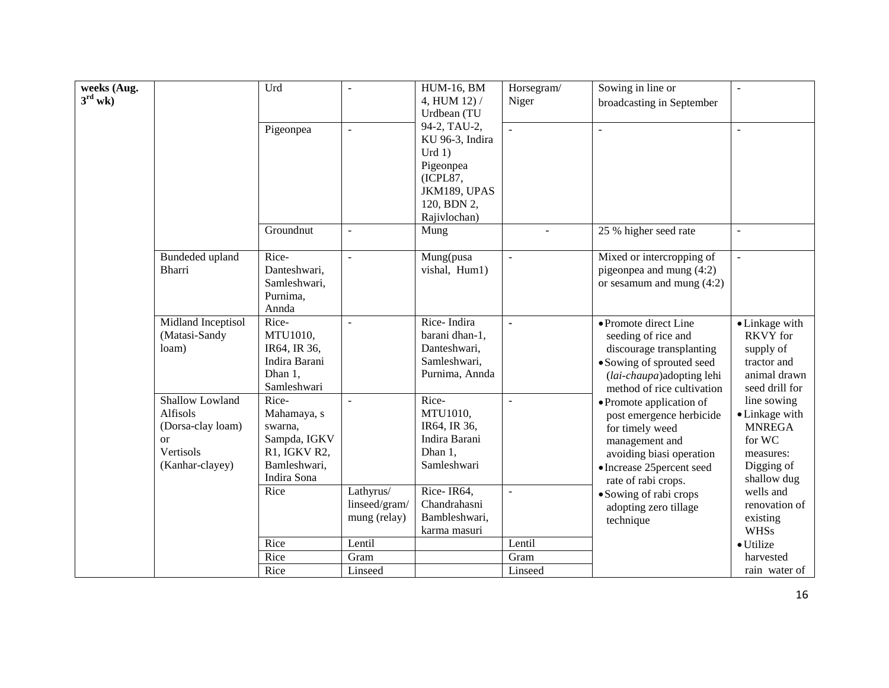|                                    |                                    | Urd                     | $\overline{a}$           | <b>HUM-16, BM</b>             |                          |                                                        |                         |
|------------------------------------|------------------------------------|-------------------------|--------------------------|-------------------------------|--------------------------|--------------------------------------------------------|-------------------------|
| weeks (Aug.<br>$3^{\text{rd}}$ wk) |                                    |                         |                          | 4, HUM 12) /                  | Horsegram/<br>Niger      | Sowing in line or                                      |                         |
|                                    |                                    |                         |                          | Urdbean (TU                   |                          | broadcasting in September                              |                         |
|                                    |                                    | Pigeonpea               | $\blacksquare$           | 94-2, TAU-2,                  | $\mathbf{r}$             | $\overline{a}$                                         |                         |
|                                    |                                    |                         |                          | KU 96-3, Indira               |                          |                                                        |                         |
|                                    |                                    |                         |                          | Urd 1)                        |                          |                                                        |                         |
|                                    |                                    |                         |                          | Pigeonpea                     |                          |                                                        |                         |
|                                    |                                    |                         |                          | (ICPL87,                      |                          |                                                        |                         |
|                                    |                                    |                         |                          | JKM189, UPAS                  |                          |                                                        |                         |
|                                    |                                    |                         |                          | 120, BDN 2,                   |                          |                                                        |                         |
|                                    |                                    |                         |                          | Rajivlochan)                  |                          |                                                        |                         |
|                                    |                                    | Groundnut               | $\overline{a}$           | Mung                          |                          | 25 % higher seed rate                                  |                         |
|                                    |                                    | Rice-                   |                          |                               |                          | Mixed or intercropping of                              |                         |
|                                    | Bundeded upland<br>Bharri          | Danteshwari,            | $\overline{a}$           | Mung(pusa<br>vishal, Hum1)    | $\blacksquare$           | pigeonpea and mung (4:2)                               |                         |
|                                    |                                    | Samleshwari,            |                          |                               |                          | or sesamum and mung $(4:2)$                            |                         |
|                                    |                                    | Purnima,                |                          |                               |                          |                                                        |                         |
|                                    |                                    | Annda                   |                          |                               |                          |                                                        |                         |
|                                    | Midland Inceptisol                 | Rice-                   | $\mathbf{r}$             | Rice-Indira                   | ä,                       | • Promote direct Line                                  | • Linkage with          |
|                                    | (Matasi-Sandy                      | MTU1010,                |                          | barani dhan-1,                |                          | seeding of rice and                                    | <b>RKVY</b> for         |
|                                    | loam)                              | IR64, IR 36,            |                          | Danteshwari,                  |                          | discourage transplanting                               | supply of               |
|                                    |                                    | Indira Barani           |                          | Samleshwari,                  |                          | • Sowing of sprouted seed                              | tractor and             |
|                                    |                                    | Dhan 1,                 |                          | Purnima, Annda                |                          | (lai-chaupa) adopting lehi                             | animal drawn            |
|                                    |                                    | Samleshwari             |                          |                               |                          | method of rice cultivation                             | seed drill for          |
|                                    | Shallow Lowland                    | Rice-                   | $\overline{\phantom{a}}$ | Rice-                         | $\overline{\phantom{a}}$ | • Promote application of                               | line sowing             |
|                                    | <b>Alfisols</b>                    | Mahamaya, s             |                          | MTU1010,                      |                          | post emergence herbicide                               | • Linkage with          |
|                                    | (Dorsa-clay loam)<br><sub>or</sub> | swarna,<br>Sampda, IGKV |                          | IR64, IR 36,<br>Indira Barani |                          | for timely weed                                        | <b>MNREGA</b><br>for WC |
|                                    | Vertisols                          | R1, IGKV R2,            |                          | Dhan 1,                       |                          | management and                                         | measures:               |
|                                    | (Kanhar-clayey)                    | Bamleshwari,            |                          | Samleshwari                   |                          | avoiding biasi operation<br>• Increase 25 percent seed | Digging of              |
|                                    |                                    | Indira Sona             |                          |                               |                          | rate of rabi crops.                                    | shallow dug             |
|                                    |                                    | Rice                    | Lathyrus/                | Rice-IR64,                    |                          | • Sowing of rabi crops                                 | wells and               |
|                                    |                                    |                         | linseed/gram/            | Chandrahasni                  |                          | adopting zero tillage                                  | renovation of           |
|                                    |                                    |                         | mung (relay)             | Bambleshwari,                 |                          | technique                                              | existing                |
|                                    |                                    |                         |                          | karma masuri                  |                          |                                                        | <b>WHSs</b>             |
|                                    |                                    | Rice                    | Lentil                   |                               | Lentil                   |                                                        | · Utilize               |
|                                    |                                    | Rice                    | Gram                     |                               | Gram                     |                                                        | harvested               |
|                                    |                                    | Rice                    | Linseed                  |                               | Linseed                  |                                                        | rain water of           |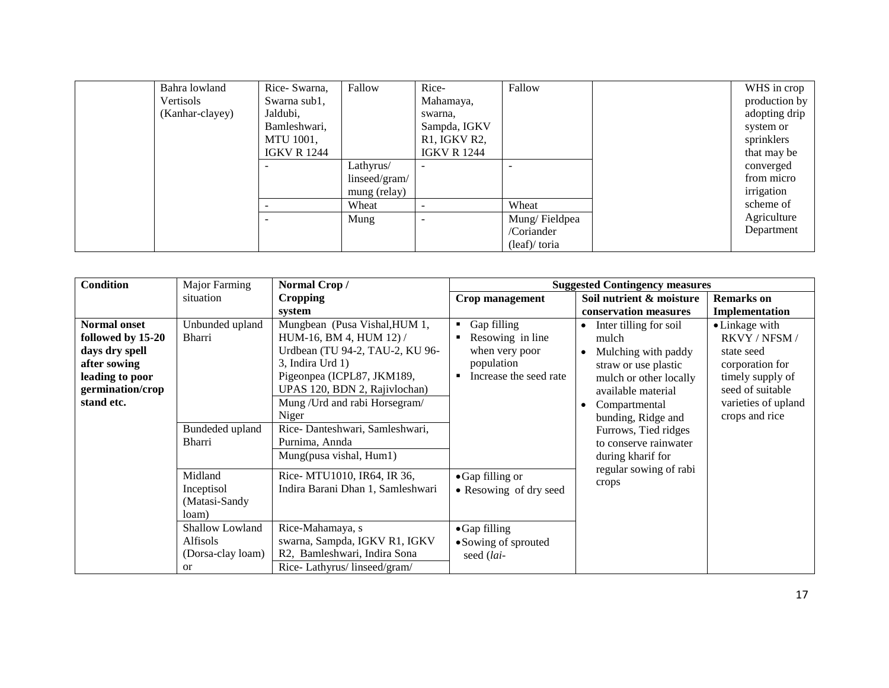| Bahra lowland   | Rice-Swarna,       | Fallow        | Rice-                                 | Fallow        | WHS in crop   |
|-----------------|--------------------|---------------|---------------------------------------|---------------|---------------|
| Vertisols       | Swarna sub1,       |               | Mahamaya,                             |               | production by |
| (Kanhar-clayey) | Jaldubi,           |               | swarna,                               |               | adopting drip |
|                 | Bamleshwari,       |               | Sampda, IGKV                          |               | system or     |
|                 | MTU 1001,          |               | R <sub>1</sub> , IGKV <sub>R2</sub> , |               | sprinklers    |
|                 | <b>IGKV R 1244</b> |               | <b>IGKV R 1244</b>                    |               | that may be   |
|                 |                    | Lathyrus/     |                                       |               | converged     |
|                 |                    | linseed/gram/ |                                       |               | from micro    |
|                 |                    | mung (relay)  |                                       |               | irrigation    |
|                 | -                  | Wheat         | $\overline{\phantom{0}}$              | Wheat         | scheme of     |
|                 |                    | Mung          | -                                     | Mung/Fieldpea | Agriculture   |
|                 |                    |               |                                       | /Coriander    | Department    |
|                 |                    |               |                                       | (leaf)/toria  |               |

| <b>Condition</b>                                                                                                                | Major Farming                                                                                                        | Normal Crop/                                                                                                                                                                                                                                                                                             |                                                                                                   | <b>Suggested Contingency measures</b>                                                                                                                                                                                                                                              |                                                                                                                                                   |
|---------------------------------------------------------------------------------------------------------------------------------|----------------------------------------------------------------------------------------------------------------------|----------------------------------------------------------------------------------------------------------------------------------------------------------------------------------------------------------------------------------------------------------------------------------------------------------|---------------------------------------------------------------------------------------------------|------------------------------------------------------------------------------------------------------------------------------------------------------------------------------------------------------------------------------------------------------------------------------------|---------------------------------------------------------------------------------------------------------------------------------------------------|
|                                                                                                                                 | situation                                                                                                            | <b>Cropping</b>                                                                                                                                                                                                                                                                                          | Crop management                                                                                   | Soil nutrient & moisture                                                                                                                                                                                                                                                           | <b>Remarks</b> on                                                                                                                                 |
|                                                                                                                                 |                                                                                                                      | system                                                                                                                                                                                                                                                                                                   |                                                                                                   | conservation measures                                                                                                                                                                                                                                                              | Implementation                                                                                                                                    |
| <b>Normal onset</b><br>followed by 15-20<br>days dry spell<br>after sowing<br>leading to poor<br>germination/crop<br>stand etc. | Unbunded upland<br>Bharri<br>Bundeded upland<br>Bharri                                                               | Mungbean (Pusa Vishal, HUM 1,<br>HUM-16, BM 4, HUM 12) /<br>Urdbean (TU 94-2, TAU-2, KU 96-<br>3, Indira Urd 1)<br>Pigeonpea (ICPL87, JKM189,<br>UPAS 120, BDN 2, Rajivlochan)<br>Mung / Urd and rabi Horsegram/<br>Niger<br>Rice-Danteshwari, Samleshwari,<br>Purnima, Annda<br>Mung(pusa vishal, Hum1) | Gap filling<br>Resowing in line<br>when very poor<br>population<br>Increase the seed rate         | Inter tilling for soil<br>$\bullet$<br>mulch<br>Mulching with paddy<br>$\bullet$<br>straw or use plastic<br>mulch or other locally<br>available material<br>Compartmental<br>$\bullet$<br>bunding, Ridge and<br>Furrows, Tied ridges<br>to conserve rainwater<br>during kharif for | • Linkage with<br>RKVY / NFSM /<br>state seed<br>corporation for<br>timely supply of<br>seed of suitable<br>varieties of upland<br>crops and rice |
|                                                                                                                                 | Midland<br>Inceptisol<br>(Matasi-Sandy<br>loam)<br>Shallow Lowland<br>Alfisols<br>(Dorsa-clay loam)<br><sub>or</sub> | Rice- MTU1010, IR64, IR 36,<br>Indira Barani Dhan 1, Samleshwari<br>Rice-Mahamaya, s<br>swarna, Sampda, IGKV R1, IGKV<br>R2, Bamleshwari, Indira Sona<br>Rice-Lathyrus/linseed/gram/                                                                                                                     | • Gap filling or<br>• Resowing of dry seed<br>• Gap filling<br>• Sowing of sprouted<br>seed (lai- | regular sowing of rabi<br>crops                                                                                                                                                                                                                                                    |                                                                                                                                                   |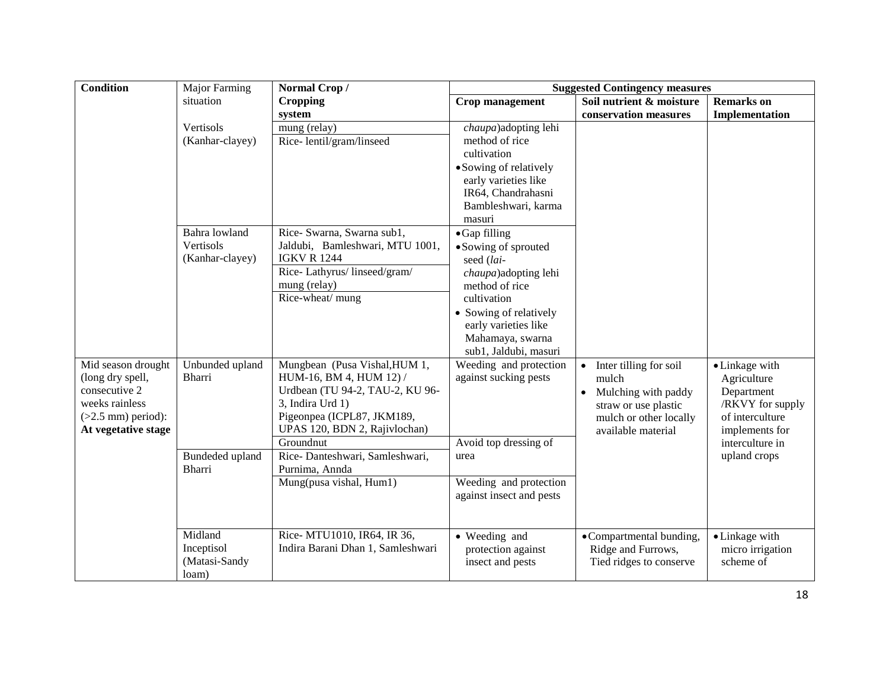| Condition                                   | Major Farming   | Normal Crop/                               | <b>Suggested Contingency measures</b> |                                     |                                   |  |  |
|---------------------------------------------|-----------------|--------------------------------------------|---------------------------------------|-------------------------------------|-----------------------------------|--|--|
|                                             | situation       | <b>Cropping</b>                            | Crop management                       | Soil nutrient & moisture            | <b>Remarks</b> on                 |  |  |
|                                             |                 | system                                     |                                       | conservation measures               | Implementation                    |  |  |
|                                             | Vertisols       | mung (relay)                               | <i>chaupa</i> ) adopting lehi         |                                     |                                   |  |  |
|                                             | (Kanhar-clayey) | Rice-lentil/gram/linseed                   | method of rice                        |                                     |                                   |  |  |
|                                             |                 |                                            | cultivation                           |                                     |                                   |  |  |
|                                             |                 |                                            | • Sowing of relatively                |                                     |                                   |  |  |
|                                             |                 |                                            | early varieties like                  |                                     |                                   |  |  |
|                                             |                 |                                            | IR64, Chandrahasni                    |                                     |                                   |  |  |
|                                             |                 |                                            | Bambleshwari, karma                   |                                     |                                   |  |  |
|                                             |                 |                                            | masuri                                |                                     |                                   |  |  |
|                                             | Bahra lowland   | Rice- Swarna, Swarna sub1,                 | • Gap filling                         |                                     |                                   |  |  |
|                                             | Vertisols       | Jaldubi, Bamleshwari, MTU 1001,            | • Sowing of sprouted                  |                                     |                                   |  |  |
|                                             | (Kanhar-clayey) | <b>IGKV R 1244</b>                         | seed (lai-                            |                                     |                                   |  |  |
|                                             |                 | Rice-Lathyrus/linseed/gram/                | chaupa)adopting lehi                  |                                     |                                   |  |  |
|                                             |                 | mung (relay)                               | method of rice                        |                                     |                                   |  |  |
|                                             |                 | Rice-wheat/ mung                           | cultivation                           |                                     |                                   |  |  |
|                                             |                 |                                            | • Sowing of relatively                |                                     |                                   |  |  |
|                                             |                 |                                            | early varieties like                  |                                     |                                   |  |  |
|                                             |                 |                                            | Mahamaya, swarna                      |                                     |                                   |  |  |
|                                             |                 |                                            | sub1, Jaldubi, masuri                 |                                     |                                   |  |  |
| Mid season drought                          | Unbunded upland | Mungbean (Pusa Vishal, HUM 1,              | Weeding and protection                | Inter tilling for soil<br>$\bullet$ | • Linkage with                    |  |  |
| (long dry spell,                            | <b>Bharri</b>   | HUM-16, BM 4, HUM 12) /                    | against sucking pests                 | mulch                               | Agriculture                       |  |  |
| consecutive 2                               |                 | Urdbean (TU 94-2, TAU-2, KU 96-            |                                       | Mulching with paddy                 | Department                        |  |  |
| weeks rainless                              |                 | 3, Indira Urd 1)                           |                                       | straw or use plastic                | /RKVY for supply                  |  |  |
| $(>2.5$ mm) period):<br>At vegetative stage |                 | Pigeonpea (ICPL87, JKM189,                 |                                       | mulch or other locally              | of interculture                   |  |  |
|                                             |                 | UPAS 120, BDN 2, Rajivlochan)<br>Groundnut | Avoid top dressing of                 | available material                  | implements for<br>interculture in |  |  |
|                                             | Bundeded upland | Rice-Danteshwari, Samleshwari,             | urea                                  |                                     | upland crops                      |  |  |
|                                             | <b>Bharri</b>   | Purnima, Annda                             |                                       |                                     |                                   |  |  |
|                                             |                 | Mung(pusa vishal, Hum1)                    | Weeding and protection                |                                     |                                   |  |  |
|                                             |                 |                                            | against insect and pests              |                                     |                                   |  |  |
|                                             |                 |                                            |                                       |                                     |                                   |  |  |
|                                             |                 |                                            |                                       |                                     |                                   |  |  |
|                                             | Midland         | Rice- MTU1010, IR64, IR 36,                | • Weeding and                         | • Compartmental bunding,            | • Linkage with                    |  |  |
|                                             | Inceptisol      | Indira Barani Dhan 1, Samleshwari          | protection against                    | Ridge and Furrows,                  | micro irrigation                  |  |  |
|                                             | (Matasi-Sandy   |                                            | insect and pests                      | Tied ridges to conserve             | scheme of                         |  |  |
|                                             | loam)           |                                            |                                       |                                     |                                   |  |  |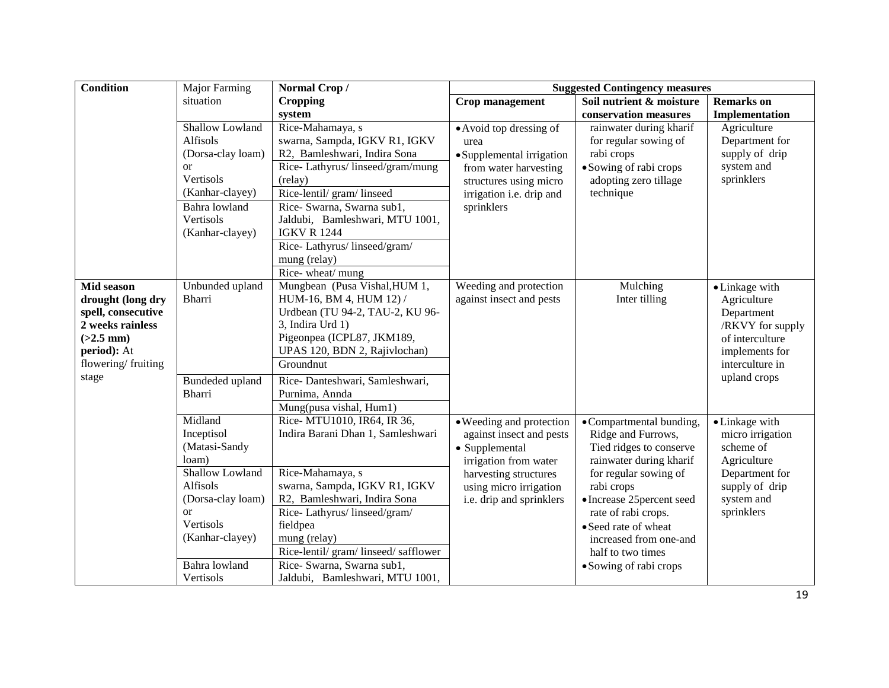| <b>Condition</b>                | Major Farming             | Normal Crop/                                           | <b>Suggested Contingency measures</b>              |                                               |                                |
|---------------------------------|---------------------------|--------------------------------------------------------|----------------------------------------------------|-----------------------------------------------|--------------------------------|
|                                 | situation                 | <b>Cropping</b>                                        | Crop management                                    | Soil nutrient & moisture                      | <b>Remarks</b> on              |
|                                 |                           | system                                                 |                                                    | conservation measures                         | Implementation                 |
|                                 | Shallow Lowland           | Rice-Mahamaya, s                                       | • Avoid top dressing of                            | rainwater during kharif                       | Agriculture                    |
|                                 | Alfisols                  | swarna, Sampda, IGKV R1, IGKV                          | urea                                               | for regular sowing of                         | Department for                 |
|                                 | (Dorsa-clay loam)         | R2, Bamleshwari, Indira Sona                           | • Supplemental irrigation                          | rabi crops                                    | supply of drip                 |
|                                 | <b>or</b>                 | Rice-Lathyrus/linseed/gram/mung                        | from water harvesting                              | • Sowing of rabi crops                        | system and                     |
|                                 | Vertisols                 | (relay)                                                | structures using micro                             | adopting zero tillage                         | sprinklers                     |
|                                 | (Kanhar-clayey)           | Rice-lentil/ gram/ linseed                             | irrigation i.e. drip and                           | technique                                     |                                |
|                                 | Bahra lowland             | Rice- Swarna, Swarna sub1,                             | sprinklers                                         |                                               |                                |
|                                 | Vertisols                 | Jaldubi, Bamleshwari, MTU 1001,                        |                                                    |                                               |                                |
|                                 | (Kanhar-clayey)           | <b>IGKV R 1244</b>                                     |                                                    |                                               |                                |
|                                 |                           | Rice-Lathyrus/linseed/gram/                            |                                                    |                                               |                                |
|                                 |                           | mung (relay)                                           |                                                    |                                               |                                |
|                                 |                           | Rice-wheat/mung<br>Mungbean (Pusa Vishal, HUM 1,       |                                                    |                                               |                                |
| Mid season<br>drought (long dry | Unbunded upland<br>Bharri | HUM-16, BM 4, HUM 12) /                                | Weeding and protection<br>against insect and pests | Mulching<br>Inter tilling                     | • Linkage with                 |
| spell, consecutive              |                           | Urdbean (TU 94-2, TAU-2, KU 96-                        |                                                    |                                               | Agriculture                    |
| 2 weeks rainless                |                           | 3, Indira Urd 1)                                       |                                                    |                                               | Department<br>/RKVY for supply |
| $(>2.5$ mm)                     |                           | Pigeonpea (ICPL87, JKM189,                             |                                                    |                                               | of interculture                |
| period): At                     |                           | UPAS 120, BDN 2, Rajivlochan)                          |                                                    |                                               | implements for                 |
| flowering/fruiting              |                           | Groundnut                                              |                                                    |                                               | interculture in                |
| stage                           |                           |                                                        |                                                    |                                               | upland crops                   |
|                                 | Bundeded upland           | Rice-Danteshwari, Samleshwari,                         |                                                    |                                               |                                |
|                                 | Bharri                    | Purnima, Annda                                         |                                                    |                                               |                                |
|                                 | Midland                   | Mung(pusa vishal, Hum1)<br>Rice- MTU1010, IR64, IR 36, |                                                    |                                               |                                |
|                                 | Inceptisol                | Indira Barani Dhan 1, Samleshwari                      | • Weeding and protection                           | • Compartmental bunding,                      | • Linkage with                 |
|                                 | (Matasi-Sandy             |                                                        | against insect and pests                           | Ridge and Furrows,<br>Tied ridges to conserve | micro irrigation<br>scheme of  |
|                                 | loam)                     |                                                        | • Supplemental<br>irrigation from water            | rainwater during kharif                       | Agriculture                    |
|                                 | Shallow Lowland           | Rice-Mahamaya, s                                       | harvesting structures                              | for regular sowing of                         | Department for                 |
|                                 | Alfisols                  | swarna, Sampda, IGKV R1, IGKV                          | using micro irrigation                             | rabi crops                                    | supply of drip                 |
|                                 | (Dorsa-clay loam)         | R2, Bamleshwari, Indira Sona                           | i.e. drip and sprinklers                           | • Increase 25 percent seed                    | system and                     |
|                                 | <sub>or</sub>             | Rice-Lathyrus/linseed/gram/                            |                                                    | rate of rabi crops.                           | sprinklers                     |
|                                 | Vertisols                 | fieldpea                                               |                                                    | • Seed rate of wheat                          |                                |
|                                 | (Kanhar-clayey)           | mung (relay)                                           |                                                    | increased from one-and                        |                                |
|                                 |                           | Rice-lentil/gram/linseed/safflower                     |                                                    | half to two times                             |                                |
|                                 | Bahra lowland             | Rice- Swarna, Swarna sub1,                             |                                                    | • Sowing of rabi crops                        |                                |
|                                 | Vertisols                 | Jaldubi, Bamleshwari, MTU 1001,                        |                                                    |                                               |                                |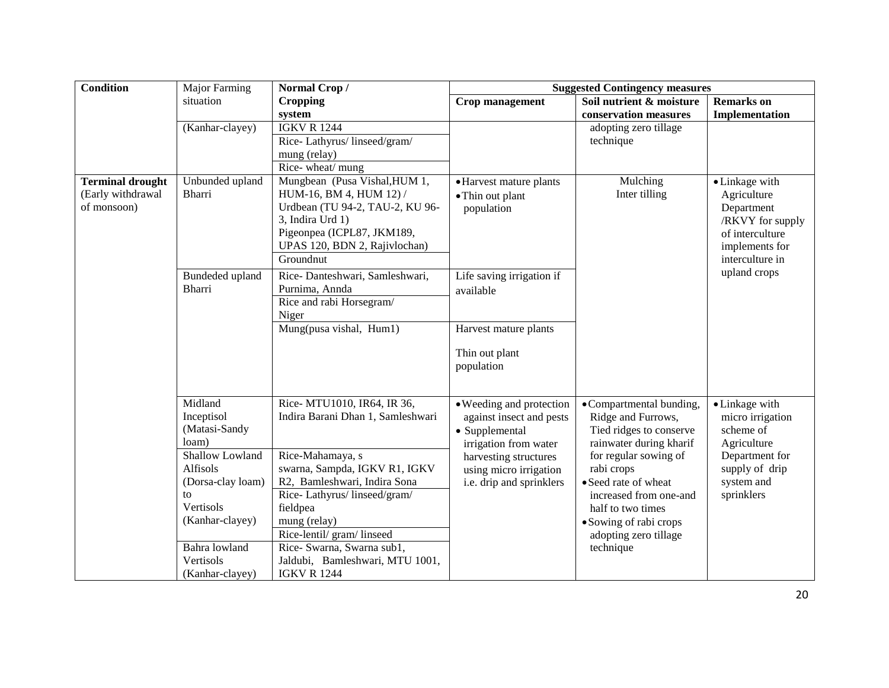| <b>Condition</b>                                            | <b>Major Farming</b>                                                                                | Normal Crop/                                                                                                                                                                                | <b>Suggested Contingency measures</b>                                                                                                                                          |                                                                                                                                                                    |                                                                                                                         |
|-------------------------------------------------------------|-----------------------------------------------------------------------------------------------------|---------------------------------------------------------------------------------------------------------------------------------------------------------------------------------------------|--------------------------------------------------------------------------------------------------------------------------------------------------------------------------------|--------------------------------------------------------------------------------------------------------------------------------------------------------------------|-------------------------------------------------------------------------------------------------------------------------|
|                                                             | situation                                                                                           | <b>Cropping</b>                                                                                                                                                                             | Crop management                                                                                                                                                                | Soil nutrient & moisture                                                                                                                                           | <b>Remarks</b> on                                                                                                       |
|                                                             |                                                                                                     | system                                                                                                                                                                                      |                                                                                                                                                                                | conservation measures                                                                                                                                              | Implementation                                                                                                          |
|                                                             | (Kanhar-clayey)                                                                                     | <b>IGKV R 1244</b>                                                                                                                                                                          |                                                                                                                                                                                | adopting zero tillage                                                                                                                                              |                                                                                                                         |
|                                                             |                                                                                                     | Rice-Lathyrus/linseed/gram/                                                                                                                                                                 |                                                                                                                                                                                | technique                                                                                                                                                          |                                                                                                                         |
|                                                             |                                                                                                     | mung (relay)                                                                                                                                                                                |                                                                                                                                                                                |                                                                                                                                                                    |                                                                                                                         |
|                                                             |                                                                                                     | Rice-wheat/mung                                                                                                                                                                             |                                                                                                                                                                                |                                                                                                                                                                    |                                                                                                                         |
| <b>Terminal drought</b><br>(Early withdrawal<br>of monsoon) | Unbunded upland<br><b>Bharri</b>                                                                    | Mungbean (Pusa Vishal, HUM 1,<br>HUM-16, BM 4, HUM 12) /<br>Urdbean (TU 94-2, TAU-2, KU 96-<br>3, Indira Urd 1)<br>Pigeonpea (ICPL87, JKM189,<br>UPAS 120, BDN 2, Rajivlochan)<br>Groundnut | • Harvest mature plants<br>• Thin out plant<br>population                                                                                                                      | Mulching<br>Inter tilling                                                                                                                                          | • Linkage with<br>Agriculture<br>Department<br>/RKVY for supply<br>of interculture<br>implements for<br>interculture in |
|                                                             | Bundeded upland<br><b>Bharri</b>                                                                    | Rice-Danteshwari, Samleshwari,<br>Purnima, Annda<br>Rice and rabi Horsegram/                                                                                                                | Life saving irrigation if<br>available                                                                                                                                         |                                                                                                                                                                    | upland crops                                                                                                            |
|                                                             |                                                                                                     | Niger                                                                                                                                                                                       |                                                                                                                                                                                |                                                                                                                                                                    |                                                                                                                         |
|                                                             |                                                                                                     | Mung(pusa vishal, Hum1)                                                                                                                                                                     | Harvest mature plants                                                                                                                                                          |                                                                                                                                                                    |                                                                                                                         |
|                                                             |                                                                                                     |                                                                                                                                                                                             | Thin out plant<br>population                                                                                                                                                   |                                                                                                                                                                    |                                                                                                                         |
|                                                             | Midland<br>Inceptisol<br>(Matasi-Sandy<br>loam)<br>Shallow Lowland<br>Alfisols<br>(Dorsa-clay loam) | Rice-MTU1010, IR64, IR 36,<br>Indira Barani Dhan 1, Samleshwari<br>Rice-Mahamaya, s<br>swarna, Sampda, IGKV R1, IGKV<br>R2, Bamleshwari, Indira Sona                                        | • Weeding and protection<br>against insect and pests<br>• Supplemental<br>irrigation from water<br>harvesting structures<br>using micro irrigation<br>i.e. drip and sprinklers | •Compartmental bunding,<br>Ridge and Furrows,<br>Tied ridges to conserve<br>rainwater during kharif<br>for regular sowing of<br>rabi crops<br>• Seed rate of wheat | • Linkage with<br>micro irrigation<br>scheme of<br>Agriculture<br>Department for<br>supply of drip<br>system and        |
|                                                             | to<br>Vertisols<br>(Kanhar-clayey)<br>Bahra lowland<br>Vertisols<br>(Kanhar-clayey)                 | Rice-Lathyrus/linseed/gram/<br>fieldpea<br>mung (relay)<br>Rice-lentil/gram/linseed<br>Rice- Swarna, Swarna sub1,<br>Jaldubi, Bamleshwari, MTU 1001,<br><b>IGKV R 1244</b>                  |                                                                                                                                                                                | increased from one-and<br>half to two times<br>• Sowing of rabi crops<br>adopting zero tillage<br>technique                                                        | sprinklers                                                                                                              |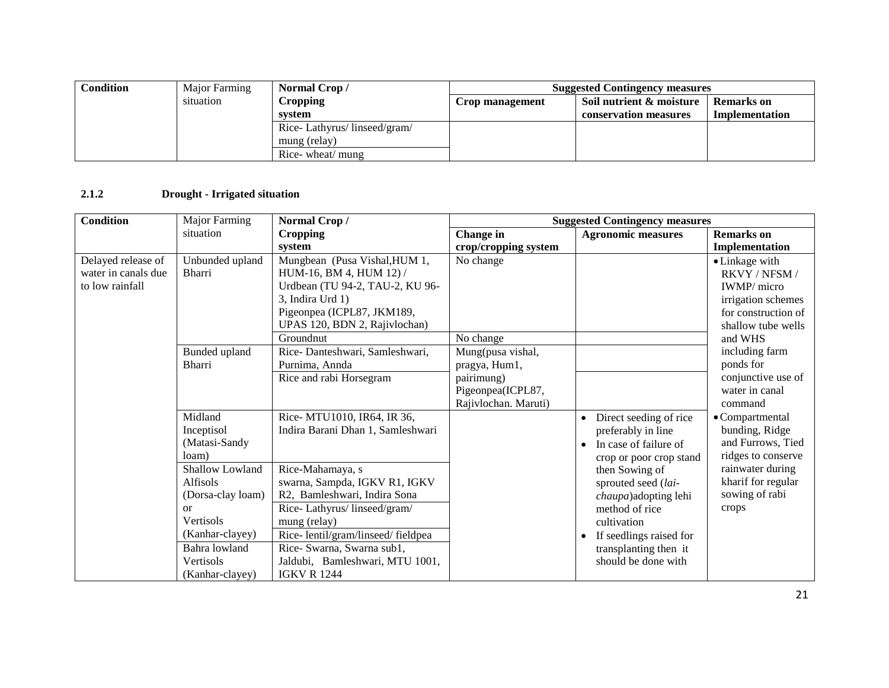| Condition | Major Farming | Normal Crop/                | <b>Suggested Contingency measures</b> |                          |                   |
|-----------|---------------|-----------------------------|---------------------------------------|--------------------------|-------------------|
|           | situation     | <b>Cropping</b>             | Crop management                       | Soil nutrient & moisture | <b>Remarks</b> on |
|           |               | system                      |                                       | conservation measures    | Implementation    |
|           |               | Rice-Lathyrus/linseed/gram/ |                                       |                          |                   |
|           |               | mung (relay)                |                                       |                          |                   |
|           |               | Rice- wheat/ mung           |                                       |                          |                   |

#### **2.1.2 Drought - Irrigated situation**

| <b>Condition</b>                                             | Major Farming                                                                                                                                      | Normal Crop/                                                                                                                                                                                                                                                 | <b>Suggested Contingency measures</b>                                                                                                                                                                                                                                                      |                                                                              |                                                                                                                           |
|--------------------------------------------------------------|----------------------------------------------------------------------------------------------------------------------------------------------------|--------------------------------------------------------------------------------------------------------------------------------------------------------------------------------------------------------------------------------------------------------------|--------------------------------------------------------------------------------------------------------------------------------------------------------------------------------------------------------------------------------------------------------------------------------------------|------------------------------------------------------------------------------|---------------------------------------------------------------------------------------------------------------------------|
|                                                              | situation                                                                                                                                          | <b>Cropping</b>                                                                                                                                                                                                                                              | Change in                                                                                                                                                                                                                                                                                  | <b>Agronomic measures</b>                                                    | <b>Remarks</b> on                                                                                                         |
|                                                              |                                                                                                                                                    | system                                                                                                                                                                                                                                                       | crop/cropping system                                                                                                                                                                                                                                                                       |                                                                              | <b>Implementation</b>                                                                                                     |
| Delayed release of<br>water in canals due<br>to low rainfall | Unbunded upland<br><b>Bharri</b>                                                                                                                   | Mungbean (Pusa Vishal, HUM 1,<br>HUM-16, BM 4, HUM 12) /<br>Urdbean (TU 94-2, TAU-2, KU 96-<br>3, Indira Urd 1)<br>Pigeonpea (ICPL87, JKM189,<br>UPAS 120, BDN 2, Rajivlochan)                                                                               | No change                                                                                                                                                                                                                                                                                  |                                                                              | • Linkage with<br>RKVY / NFSM /<br><b>IWMP</b> / micro<br>irrigation schemes<br>for construction of<br>shallow tube wells |
|                                                              |                                                                                                                                                    | Groundnut                                                                                                                                                                                                                                                    | No change                                                                                                                                                                                                                                                                                  |                                                                              | and WHS                                                                                                                   |
|                                                              | Bunded upland<br><b>Bharri</b>                                                                                                                     | Rice-Danteshwari, Samleshwari,<br>Purnima, Annda<br>Rice and rabi Horsegram                                                                                                                                                                                  | Mung(pusa vishal,<br>pragya, Hum1,<br>pairimung)<br>Pigeonpea(ICPL87,<br>Rajivlochan. Maruti)                                                                                                                                                                                              |                                                                              | including farm<br>ponds for<br>conjunctive use of<br>water in canal<br>command                                            |
|                                                              | Midland<br>Inceptisol<br>(Matasi-Sandy<br>loam)                                                                                                    | Rice- MTU1010, IR64, IR 36,<br>Indira Barani Dhan 1, Samleshwari                                                                                                                                                                                             | Direct seeding of rice<br>$\bullet$<br>preferably in line<br>In case of failure of<br>crop or poor crop stand<br>then Sowing of<br>sprouted seed (lai-<br>chaupa)adopting lehi<br>method of rice<br>cultivation<br>If seedlings raised for<br>transplanting then it<br>should be done with | • Compartmental<br>bunding, Ridge<br>and Furrows, Tied<br>ridges to conserve |                                                                                                                           |
|                                                              | Shallow Lowland<br>Alfisols<br>(Dorsa-clay loam)<br><sub>or</sub><br>Vertisols<br>(Kanhar-clayey)<br>Bahra lowland<br>Vertisols<br>(Kanhar-clayey) | Rice-Mahamaya, s<br>swarna, Sampda, IGKV R1, IGKV<br>R2, Bamleshwari, Indira Sona<br>Rice-Lathyrus/linseed/gram/<br>mung (relay)<br>Rice-lentil/gram/linseed/fieldpea<br>Rice- Swarna, Swarna sub1,<br>Jaldubi, Bamleshwari, MTU 1001,<br><b>IGKV R 1244</b> |                                                                                                                                                                                                                                                                                            |                                                                              | rainwater during<br>kharif for regular<br>sowing of rabi<br>crops                                                         |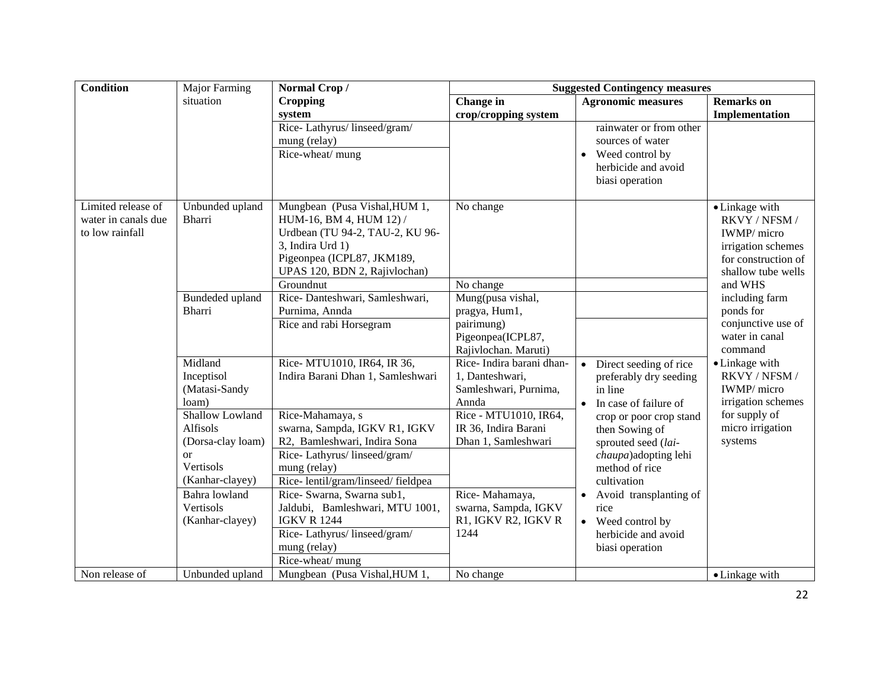| <b>Condition</b>    | Major Farming     | Normal Crop/                      | <b>Suggested Contingency measures</b>     |                                     |                                      |
|---------------------|-------------------|-----------------------------------|-------------------------------------------|-------------------------------------|--------------------------------------|
|                     | situation         | <b>Cropping</b>                   | <b>Change</b> in                          | <b>Agronomic measures</b>           | <b>Remarks</b> on                    |
|                     |                   | system                            | crop/cropping system                      |                                     | Implementation                       |
|                     |                   | Rice-Lathyrus/linseed/gram/       |                                           | rainwater or from other             |                                      |
|                     |                   | mung (relay)                      |                                           | sources of water                    |                                      |
|                     |                   | Rice-wheat/ mung                  |                                           | Weed control by                     |                                      |
|                     |                   |                                   |                                           | herbicide and avoid                 |                                      |
|                     |                   |                                   |                                           | biasi operation                     |                                      |
|                     |                   |                                   |                                           |                                     |                                      |
| Limited release of  | Unbunded upland   | Mungbean (Pusa Vishal, HUM 1,     | No change                                 |                                     | • Linkage with                       |
| water in canals due | <b>Bharri</b>     | HUM-16, BM 4, HUM 12) /           |                                           |                                     | RKVY / NFSM /                        |
| to low rainfall     |                   | Urdbean (TU 94-2, TAU-2, KU 96-   |                                           |                                     | IWMP/ micro                          |
|                     |                   | 3, Indira Urd 1)                  |                                           |                                     | irrigation schemes                   |
|                     |                   | Pigeonpea (ICPL87, JKM189,        |                                           |                                     | for construction of                  |
|                     |                   | UPAS 120, BDN 2, Rajivlochan)     |                                           |                                     | shallow tube wells                   |
|                     |                   | Groundnut                         | No change                                 |                                     | and WHS                              |
|                     | Bundeded upland   | Rice-Danteshwari, Samleshwari,    | Mung(pusa vishal,                         |                                     | including farm                       |
|                     | <b>Bharri</b>     | Purnima, Annda                    | pragya, Hum1,                             |                                     | ponds for                            |
|                     |                   | Rice and rabi Horsegram           | pairimung)                                |                                     | conjunctive use of<br>water in canal |
|                     |                   |                                   | Pigeonpea(ICPL87,<br>Rajivlochan. Maruti) |                                     | command                              |
|                     | Midland           | Rice- MTU1010, IR64, IR 36,       | Rice-Indira barani dhan-                  | Direct seeding of rice<br>$\bullet$ | • Linkage with                       |
|                     | Inceptisol        | Indira Barani Dhan 1, Samleshwari | 1, Danteshwari,                           | preferably dry seeding              | RKVY / NFSM /                        |
|                     | (Matasi-Sandy     |                                   | Samleshwari, Purnima,                     | in line                             | IWMP/ micro                          |
|                     | loam)             |                                   | Annda                                     | In case of failure of<br>$\bullet$  | irrigation schemes                   |
|                     | Shallow Lowland   | Rice-Mahamaya, s                  | Rice - MTU1010, IR64,                     | crop or poor crop stand             | for supply of                        |
|                     | Alfisols          | swarna, Sampda, IGKV R1, IGKV     | IR 36, Indira Barani                      | then Sowing of                      | micro irrigation                     |
|                     | (Dorsa-clay loam) | R2, Bamleshwari, Indira Sona      | Dhan 1, Samleshwari                       | sprouted seed (lai-                 | systems                              |
|                     | <sub>or</sub>     | Rice-Lathyrus/linseed/gram/       |                                           | chaupa)adopting lehi                |                                      |
|                     | Vertisols         | mung (relay)                      |                                           | method of rice                      |                                      |
|                     | (Kanhar-clayey)   | Rice-lentil/gram/linseed/fieldpea |                                           | cultivation                         |                                      |
|                     | Bahra lowland     | Rice- Swarna, Swarna sub1,        | Rice-Mahamaya,                            | Avoid transplanting of<br>$\bullet$ |                                      |
|                     | Vertisols         | Jaldubi, Bamleshwari, MTU 1001,   | swarna, Sampda, IGKV                      | rice                                |                                      |
|                     | (Kanhar-clayey)   | <b>IGKV R 1244</b>                | R1, IGKV R2, IGKV R                       | • Weed control by                   |                                      |
|                     |                   | Rice-Lathyrus/linseed/gram/       | 1244                                      | herbicide and avoid                 |                                      |
|                     |                   | mung (relay)                      |                                           | biasi operation                     |                                      |
|                     |                   | Rice-wheat/ mung                  |                                           |                                     |                                      |
| Non release of      | Unbunded upland   | Mungbean (Pusa Vishal, HUM 1,     | No change                                 |                                     | • Linkage with                       |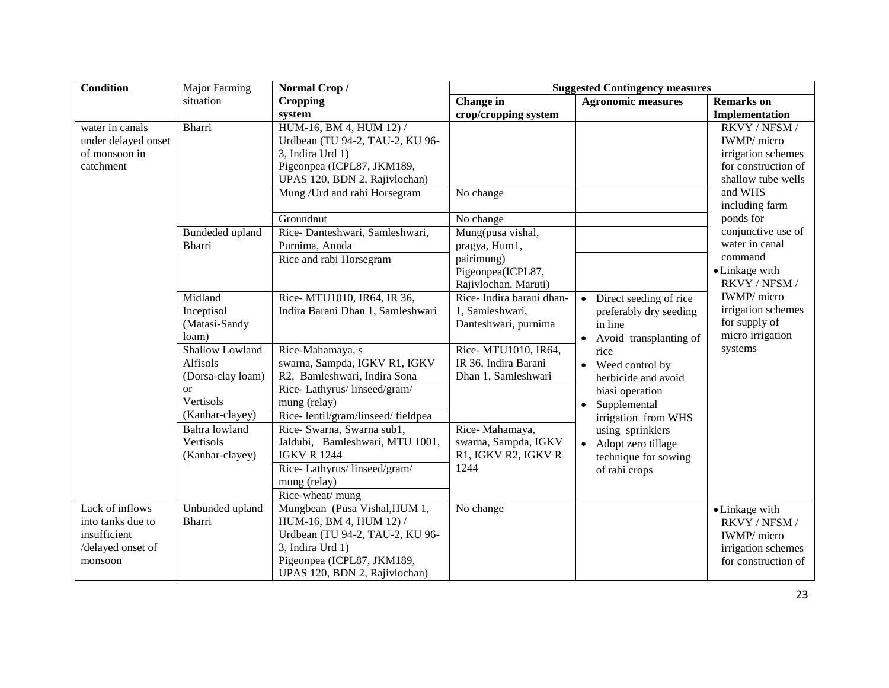| Condition                                                                            | <b>Major Farming</b>                                                                          | Normal Crop/                                                                                                                                                                   | <b>Suggested Contingency measures</b>                                                                                                                                           |                                                                                       |                                                                                                                              |
|--------------------------------------------------------------------------------------|-----------------------------------------------------------------------------------------------|--------------------------------------------------------------------------------------------------------------------------------------------------------------------------------|---------------------------------------------------------------------------------------------------------------------------------------------------------------------------------|---------------------------------------------------------------------------------------|------------------------------------------------------------------------------------------------------------------------------|
|                                                                                      | situation                                                                                     | <b>Cropping</b>                                                                                                                                                                | Change in                                                                                                                                                                       | <b>Agronomic measures</b>                                                             | <b>Remarks</b> on                                                                                                            |
|                                                                                      |                                                                                               | system                                                                                                                                                                         | crop/cropping system                                                                                                                                                            |                                                                                       | Implementation                                                                                                               |
| water in canals<br>under delayed onset<br>of monsoon in<br>catchment                 | <b>Bharri</b>                                                                                 | HUM-16, BM 4, HUM 12) /<br>Urdbean (TU 94-2, TAU-2, KU 96-<br>3, Indira Urd 1)<br>Pigeonpea (ICPL87, JKM189,<br>UPAS 120, BDN 2, Rajivlochan)<br>Mung / Urd and rabi Horsegram | No change                                                                                                                                                                       |                                                                                       | RKVY / NFSM /<br>IWMP/ micro<br>irrigation schemes<br>for construction of<br>shallow tube wells<br>and WHS<br>including farm |
|                                                                                      |                                                                                               | Groundnut                                                                                                                                                                      | No change                                                                                                                                                                       |                                                                                       | ponds for                                                                                                                    |
|                                                                                      | Bundeded upland<br>Bharri                                                                     | Rice-Danteshwari, Samleshwari,<br>Purnima, Annda<br>Rice and rabi Horsegram                                                                                                    | Mung(pusa vishal,<br>pragya, Hum1,<br>pairimung)<br>Pigeonpea(ICPL87,<br>Rajivlochan. Maruti)                                                                                   |                                                                                       | conjunctive use of<br>water in canal<br>command<br>• Linkage with<br>RKVY / NFSM /                                           |
|                                                                                      | Midland<br>Inceptisol<br>(Matasi-Sandy<br>loam)                                               | Rice- MTU1010, IR64, IR 36,<br>Indira Barani Dhan 1, Samleshwari                                                                                                               | Rice-Indira barani dhan-<br>1, Samleshwari,<br>Danteshwari, purnima                                                                                                             | Direct seeding of rice<br>preferably dry seeding<br>in line<br>Avoid transplanting of | IWMP/ micro<br>irrigation schemes<br>for supply of<br>micro irrigation                                                       |
|                                                                                      | Shallow Lowland<br>Alfisols<br>(Dorsa-clay loam)<br><b>or</b><br>Vertisols<br>(Kanhar-clayey) | Rice-Mahamaya, s<br>swarna, Sampda, IGKV R1, IGKV<br>R2, Bamleshwari, Indira Sona<br>Rice-Lathyrus/linseed/gram/<br>mung (relay)<br>Rice-lentil/gram/linseed/fieldpea          | Rice- MTU1010, IR64,<br>IR 36, Indira Barani<br>Dhan 1, Samleshwari                                                                                                             | rice<br>Weed control by<br>herbicide and avoid<br>biasi operation<br>Supplemental     | systems                                                                                                                      |
|                                                                                      | Bahra lowland<br>Vertisols<br>(Kanhar-clayey)                                                 | Rice- Swarna, Swarna sub1,<br>Jaldubi, Bamleshwari, MTU 1001,<br><b>IGKV R 1244</b><br>Rice-Lathyrus/linseed/gram/<br>mung (relay)<br>Rice-wheat/ mung                         | irrigation from WHS<br>Rice-Mahamaya,<br>using sprinklers<br>swarna, Sampda, IGKV<br>Adopt zero tillage<br>R1, IGKV R2, IGKV R<br>technique for sowing<br>1244<br>of rabi crops |                                                                                       |                                                                                                                              |
| Lack of inflows<br>into tanks due to<br>insufficient<br>/delayed onset of<br>monsoon | Unbunded upland<br>Bharri                                                                     | Mungbean (Pusa Vishal, HUM 1,<br>HUM-16, BM 4, HUM 12) /<br>Urdbean (TU 94-2, TAU-2, KU 96-<br>3, Indira Urd 1)<br>Pigeonpea (ICPL87, JKM189,<br>UPAS 120, BDN 2, Rajivlochan) | No change                                                                                                                                                                       |                                                                                       | • Linkage with<br>RKVY / NFSM /<br>IWMP/ micro<br>irrigation schemes<br>for construction of                                  |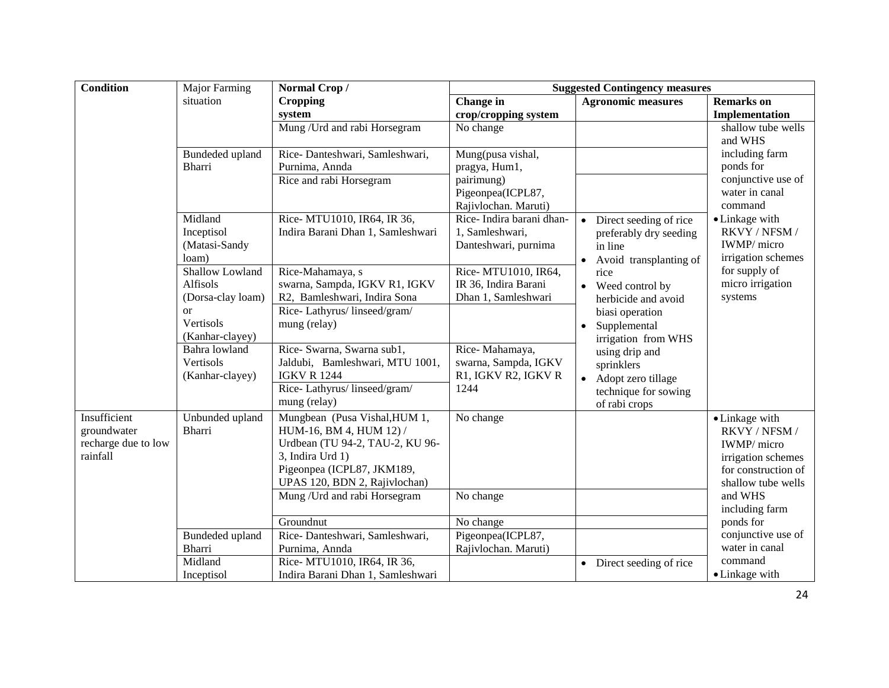| Condition                                                      | <b>Major Farming</b>                             | Normal Crop/                                                                                                                                                                   | <b>Suggested Contingency measures</b>                                                         |                                                                                                    |                                                                                                                   |
|----------------------------------------------------------------|--------------------------------------------------|--------------------------------------------------------------------------------------------------------------------------------------------------------------------------------|-----------------------------------------------------------------------------------------------|----------------------------------------------------------------------------------------------------|-------------------------------------------------------------------------------------------------------------------|
|                                                                | situation                                        | <b>Cropping</b>                                                                                                                                                                | Change in                                                                                     | <b>Agronomic measures</b>                                                                          | <b>Remarks</b> on                                                                                                 |
|                                                                |                                                  | system                                                                                                                                                                         | crop/cropping system                                                                          |                                                                                                    | Implementation                                                                                                    |
|                                                                |                                                  | Mung / Urd and rabi Horsegram                                                                                                                                                  | No change                                                                                     |                                                                                                    | shallow tube wells<br>and WHS                                                                                     |
|                                                                | Bundeded upland<br>Bharri                        | Rice-Danteshwari, Samleshwari,<br>Purnima, Annda<br>Rice and rabi Horsegram                                                                                                    | Mung(pusa vishal,<br>pragya, Hum1,<br>pairimung)<br>Pigeonpea(ICPL87,<br>Rajivlochan. Maruti) |                                                                                                    | including farm<br>ponds for<br>conjunctive use of<br>water in canal<br>command                                    |
|                                                                | Midland<br>Inceptisol<br>(Matasi-Sandy<br>loam)  | Rice- MTU1010, IR64, IR 36,<br>Indira Barani Dhan 1, Samleshwari                                                                                                               | Rice-Indira barani dhan-<br>1, Samleshwari,<br>Danteshwari, purnima                           | Direct seeding of rice<br>preferably dry seeding<br>in line<br>Avoid transplanting of<br>$\bullet$ | • Linkage with<br>RKVY / NFSM /<br>IWMP/ micro<br>irrigation schemes                                              |
|                                                                | Shallow Lowland<br>Alfisols<br>(Dorsa-clay loam) | Rice-Mahamaya, s<br>swarna, Sampda, IGKV R1, IGKV<br>R2, Bamleshwari, Indira Sona                                                                                              | Rice- MTU1010, IR64,<br>IR 36, Indira Barani<br>Dhan 1, Samleshwari                           | rice<br>Weed control by<br>$\bullet$<br>herbicide and avoid                                        | for supply of<br>micro irrigation<br>systems                                                                      |
|                                                                | <sub>or</sub><br>Vertisols<br>(Kanhar-clayey)    | Rice-Lathyrus/linseed/gram/<br>mung (relay)                                                                                                                                    |                                                                                               | biasi operation<br>Supplemental<br>irrigation from WHS                                             |                                                                                                                   |
|                                                                | Bahra lowland<br>Vertisols<br>(Kanhar-clayey)    | Rice- Swarna, Swarna sub1,<br>Jaldubi, Bamleshwari, MTU 1001,<br><b>IGKV R 1244</b>                                                                                            | Rice-Mahamaya,<br>swarna, Sampda, IGKV<br>R1, IGKV R2, IGKV R                                 | using drip and<br>sprinklers<br>Adopt zero tillage<br>$\bullet$                                    |                                                                                                                   |
|                                                                |                                                  | Rice-Lathyrus/linseed/gram/<br>mung (relay)                                                                                                                                    | 1244                                                                                          | technique for sowing<br>of rabi crops                                                              |                                                                                                                   |
| Insufficient<br>groundwater<br>recharge due to low<br>rainfall | Unbunded upland<br><b>Bharri</b>                 | Mungbean (Pusa Vishal, HUM 1,<br>HUM-16, BM 4, HUM 12) /<br>Urdbean (TU 94-2, TAU-2, KU 96-<br>3, Indira Urd 1)<br>Pigeonpea (ICPL87, JKM189,<br>UPAS 120, BDN 2, Rajivlochan) | No change                                                                                     |                                                                                                    | • Linkage with<br>RKVY / NFSM /<br>IWMP/ micro<br>irrigation schemes<br>for construction of<br>shallow tube wells |
|                                                                |                                                  | Mung / Urd and rabi Horsegram                                                                                                                                                  | No change                                                                                     |                                                                                                    | and WHS<br>including farm                                                                                         |
|                                                                |                                                  | Groundnut                                                                                                                                                                      | No change                                                                                     |                                                                                                    | ponds for                                                                                                         |
|                                                                | Bundeded upland                                  | Rice-Danteshwari, Samleshwari,                                                                                                                                                 | Pigeonpea(ICPL87,                                                                             |                                                                                                    | conjunctive use of                                                                                                |
|                                                                | <b>Bharri</b>                                    | Purnima, Annda                                                                                                                                                                 | Rajivlochan. Maruti)                                                                          |                                                                                                    | water in canal                                                                                                    |
|                                                                | Midland<br>Inceptisol                            | Rice- MTU1010, IR64, IR 36,<br>Indira Barani Dhan 1, Samleshwari                                                                                                               |                                                                                               | Direct seeding of rice<br>$\bullet$                                                                | command<br>• Linkage with                                                                                         |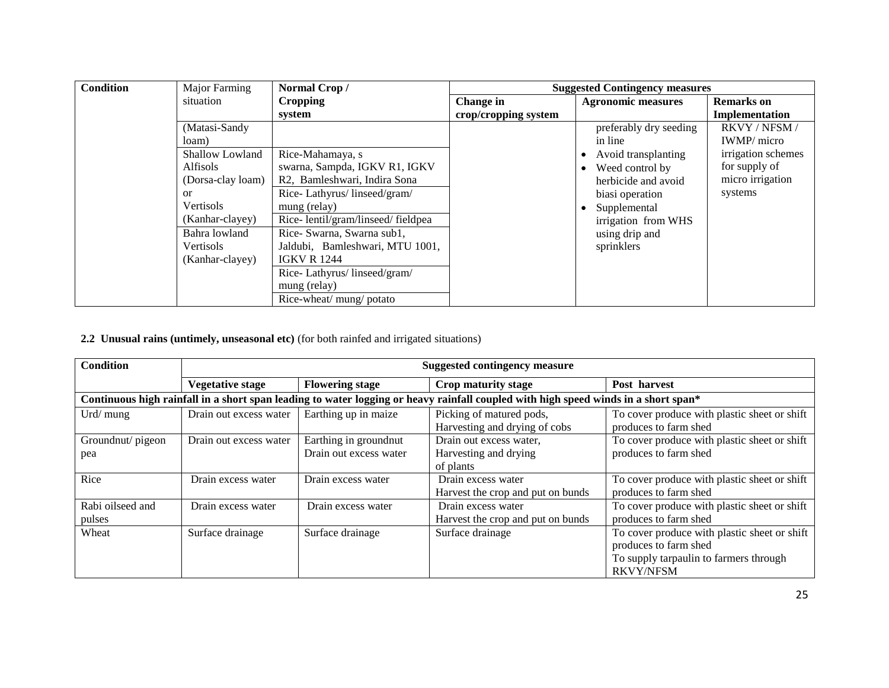| <b>Condition</b> | Major Farming     | Normal Crop/                      | <b>Suggested Contingency measures</b> |                              |                     |
|------------------|-------------------|-----------------------------------|---------------------------------------|------------------------------|---------------------|
|                  | situation         | <b>Cropping</b>                   | Change in                             | <b>Agronomic measures</b>    | <b>Remarks</b> on   |
|                  |                   | system                            | crop/cropping system                  |                              | Implementation      |
|                  | (Matasi-Sandy     |                                   |                                       | preferably dry seeding       | <b>RKVY/NFSM/</b>   |
|                  | loam)             |                                   |                                       | in line                      | <b>IWMP</b> / micro |
|                  | Shallow Lowland   | Rice-Mahamaya, s                  |                                       | Avoid transplanting          | irrigation schemes  |
|                  | <b>Alfisols</b>   | swarna, Sampda, IGKV R1, IGKV     |                                       | Weed control by<br>$\bullet$ | for supply of       |
|                  | (Dorsa-clay loam) | R2, Bamleshwari, Indira Sona      |                                       | herbicide and avoid          | micro irrigation    |
|                  | <sub>or</sub>     | Rice-Lathyrus/linseed/gram/       |                                       | biasi operation              | systems             |
|                  | Vertisols         | mung (relay)                      |                                       | Supplemental                 |                     |
|                  | (Kanhar-clayey)   | Rice-lentil/gram/linseed/fieldpea |                                       | irrigation from WHS          |                     |
|                  | Bahra lowland     | Rice- Swarna, Swarna sub1,        |                                       | using drip and               |                     |
|                  | Vertisols         | Jaldubi, Bamleshwari, MTU 1001,   |                                       | sprinklers                   |                     |
|                  | (Kanhar-clayey)   | <b>IGKV R 1244</b>                |                                       |                              |                     |
|                  |                   | Rice-Lathyrus/linseed/gram/       |                                       |                              |                     |
|                  |                   | mung (relay)                      |                                       |                              |                     |
|                  |                   | Rice-wheat/ mung/ potato          |                                       |                              |                     |

## **2.2 Unusual rains (untimely, unseasonal etc)** (for both rainfed and irrigated situations)

| <b>Condition</b>           | <b>Suggested contingency measure</b>                                                                                               |                                                 |                                                               |                                                                                                                                     |  |  |  |
|----------------------------|------------------------------------------------------------------------------------------------------------------------------------|-------------------------------------------------|---------------------------------------------------------------|-------------------------------------------------------------------------------------------------------------------------------------|--|--|--|
|                            | Vegetative stage                                                                                                                   | <b>Flowering stage</b>                          | Crop maturity stage                                           | Post harvest                                                                                                                        |  |  |  |
|                            | Continuous high rainfall in a short span leading to water logging or heavy rainfall coupled with high speed winds in a short span* |                                                 |                                                               |                                                                                                                                     |  |  |  |
| Urd/ $mung$                | Drain out excess water                                                                                                             | Earthing up in maize                            | Picking of matured pods,<br>Harvesting and drying of cobs     | To cover produce with plastic sheet or shift<br>produces to farm shed                                                               |  |  |  |
| Groundnut/pigeon<br>pea    | Drain out excess water                                                                                                             | Earthing in groundnut<br>Drain out excess water | Drain out excess water,<br>Harvesting and drying<br>of plants | To cover produce with plastic sheet or shift<br>produces to farm shed                                                               |  |  |  |
| Rice                       | Drain excess water                                                                                                                 | Drain excess water                              | Drain excess water<br>Harvest the crop and put on bunds       | To cover produce with plastic sheet or shift<br>produces to farm shed                                                               |  |  |  |
| Rabi oilseed and<br>pulses | Drain excess water                                                                                                                 | Drain excess water                              | Drain excess water<br>Harvest the crop and put on bunds       | To cover produce with plastic sheet or shift<br>produces to farm shed                                                               |  |  |  |
| Wheat                      | Surface drainage                                                                                                                   | Surface drainage                                | Surface drainage                                              | To cover produce with plastic sheet or shift<br>produces to farm shed<br>To supply tarpaulin to farmers through<br><b>RKVY/NFSM</b> |  |  |  |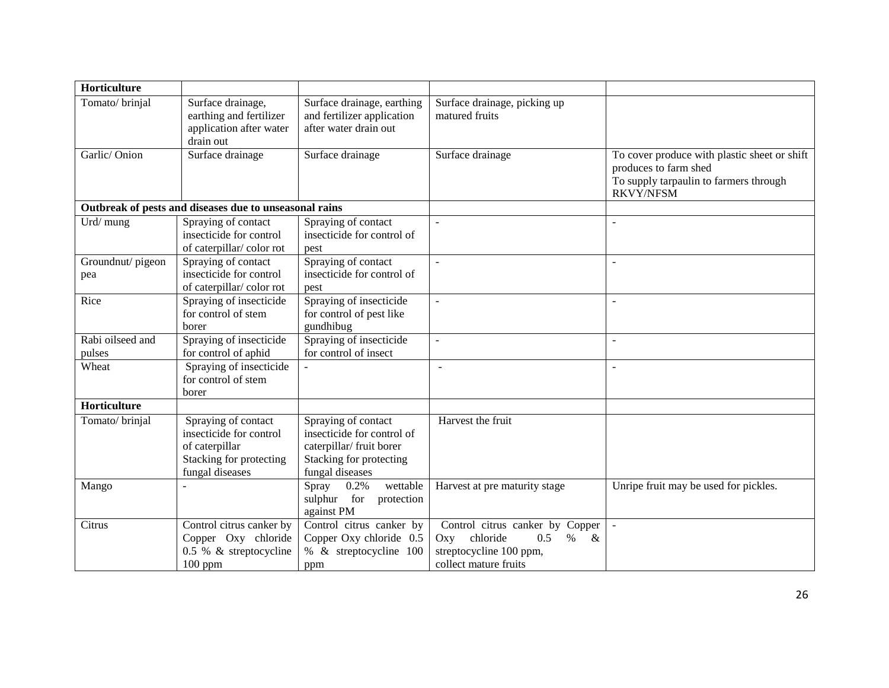| Horticulture               |                                                                                                                |                                                                                                                             |                                                                                                                            |                                                                                                                                     |
|----------------------------|----------------------------------------------------------------------------------------------------------------|-----------------------------------------------------------------------------------------------------------------------------|----------------------------------------------------------------------------------------------------------------------------|-------------------------------------------------------------------------------------------------------------------------------------|
| Tomato/brinjal             | Surface drainage,<br>earthing and fertilizer<br>application after water<br>drain out                           | Surface drainage, earthing<br>and fertilizer application<br>after water drain out                                           | Surface drainage, picking up<br>matured fruits                                                                             |                                                                                                                                     |
| Garlic/Onion               | Surface drainage                                                                                               | Surface drainage                                                                                                            | Surface drainage                                                                                                           | To cover produce with plastic sheet or shift<br>produces to farm shed<br>To supply tarpaulin to farmers through<br><b>RKVY/NFSM</b> |
|                            | Outbreak of pests and diseases due to unseasonal rains                                                         |                                                                                                                             |                                                                                                                            |                                                                                                                                     |
| Urd/ mung                  | Spraying of contact<br>insecticide for control<br>of caterpillar/color rot                                     | Spraying of contact<br>insecticide for control of<br>pest                                                                   |                                                                                                                            |                                                                                                                                     |
| Groundnut/pigeon<br>pea    | Spraying of contact<br>insecticide for control<br>of caterpillar/color rot                                     | Spraying of contact<br>insecticide for control of<br>pest                                                                   |                                                                                                                            |                                                                                                                                     |
| Rice                       | Spraying of insecticide<br>for control of stem<br>borer                                                        | Spraying of insecticide<br>for control of pest like<br>gundhibug                                                            | $\overline{a}$                                                                                                             |                                                                                                                                     |
| Rabi oilseed and<br>pulses | Spraying of insecticide<br>for control of aphid                                                                | Spraying of insecticide<br>for control of insect                                                                            |                                                                                                                            |                                                                                                                                     |
| Wheat                      | Spraying of insecticide<br>for control of stem<br>borer                                                        |                                                                                                                             |                                                                                                                            |                                                                                                                                     |
| Horticulture               |                                                                                                                |                                                                                                                             |                                                                                                                            |                                                                                                                                     |
| Tomato/brinjal             | Spraying of contact<br>insecticide for control<br>of caterpillar<br>Stacking for protecting<br>fungal diseases | Spraying of contact<br>insecticide for control of<br>caterpillar/ fruit borer<br>Stacking for protecting<br>fungal diseases | Harvest the fruit                                                                                                          |                                                                                                                                     |
| Mango                      |                                                                                                                | Spray<br>0.2%<br>wettable<br>sulphur<br>for<br>protection<br>against PM                                                     | Harvest at pre maturity stage                                                                                              | Unripe fruit may be used for pickles.                                                                                               |
| Citrus                     | Control citrus canker by<br>Copper Oxy chloride<br>0.5 % & streptocycline<br>$100$ ppm                         | Control citrus canker by<br>Copper Oxy chloride 0.5<br>% & streptocycline 100<br>ppm                                        | Control citrus canker by Copper<br>Oxy chloride<br>0.5<br>$\%$<br>$\&$<br>streptocycline 100 ppm,<br>collect mature fruits |                                                                                                                                     |